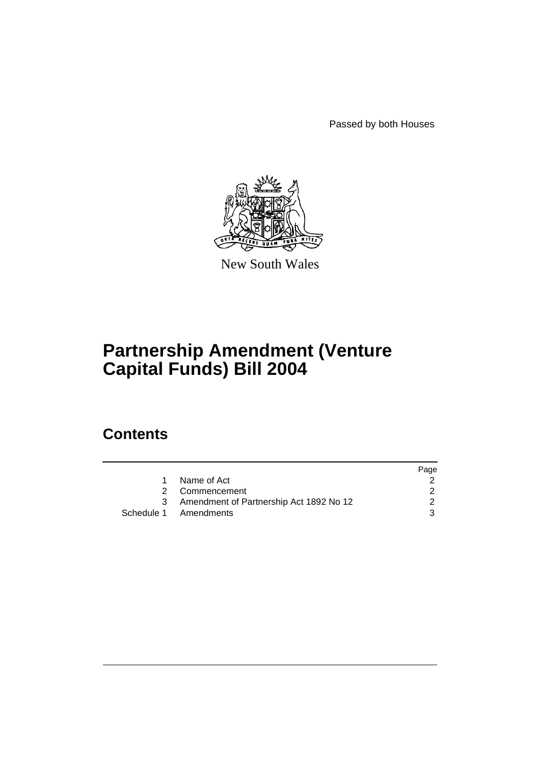Passed by both Houses



New South Wales

# **Partnership Amendment (Venture Capital Funds) Bill 2004**

# **Contents**

|                                           | Page |
|-------------------------------------------|------|
| Name of Act                               |      |
| 2 Commencement                            |      |
| 3 Amendment of Partnership Act 1892 No 12 |      |
| Schedule 1 Amendments                     |      |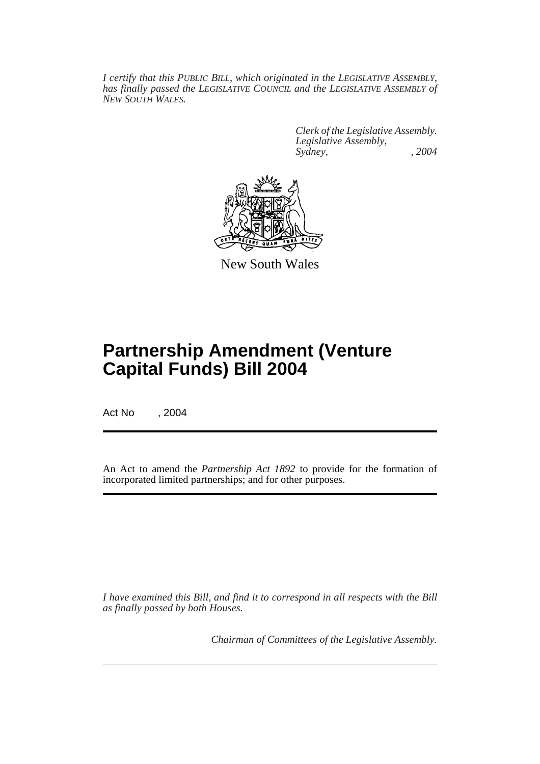*I certify that this PUBLIC BILL, which originated in the LEGISLATIVE ASSEMBLY, has finally passed the LEGISLATIVE COUNCIL and the LEGISLATIVE ASSEMBLY of NEW SOUTH WALES.*

> *Clerk of the Legislative Assembly. Legislative Assembly, Sydney, , 2004*



New South Wales

# **Partnership Amendment (Venture Capital Funds) Bill 2004**

Act No , 2004

An Act to amend the *Partnership Act 1892* to provide for the formation of incorporated limited partnerships; and for other purposes.

*I have examined this Bill, and find it to correspond in all respects with the Bill as finally passed by both Houses.*

*Chairman of Committees of the Legislative Assembly.*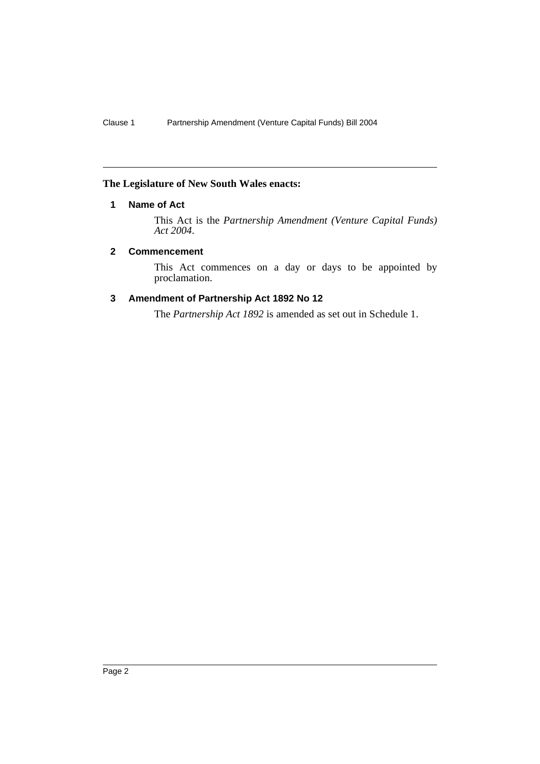## **The Legislature of New South Wales enacts:**

## **1 Name of Act**

This Act is the *Partnership Amendment (Venture Capital Funds) Act 2004*.

## **2 Commencement**

This Act commences on a day or days to be appointed by proclamation.

## **3 Amendment of Partnership Act 1892 No 12**

The *Partnership Act 1892* is amended as set out in Schedule 1.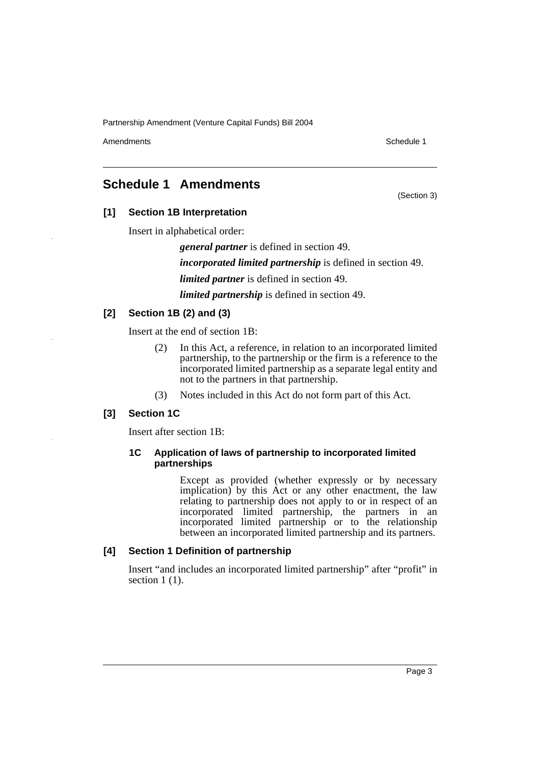Amendments **Schedule 1** and the set of the set of the set of the set of the set of the set of the set of the set of the set of the set of the set of the set of the set of the set of the set of the set of the set of the set

(Section 3)

# **Schedule 1 Amendments**

## **[1] Section 1B Interpretation**

Insert in alphabetical order:

*general partner* is defined in section 49.

*incorporated limited partnership* is defined in section 49.

*limited partner* is defined in section 49.

*limited partnership* is defined in section 49.

## **[2] Section 1B (2) and (3)**

Insert at the end of section 1B:

- (2) In this Act, a reference, in relation to an incorporated limited partnership, to the partnership or the firm is a reference to the incorporated limited partnership as a separate legal entity and not to the partners in that partnership.
- (3) Notes included in this Act do not form part of this Act.

## **[3] Section 1C**

Insert after section 1B:

#### **1C Application of laws of partnership to incorporated limited partnerships**

Except as provided (whether expressly or by necessary implication) by this Act or any other enactment, the law relating to partnership does not apply to or in respect of an incorporated limited partnership, the partners in an incorporated limited partnership or to the relationship between an incorporated limited partnership and its partners.

## **[4] Section 1 Definition of partnership**

Insert "and includes an incorporated limited partnership" after "profit" in section 1 (1).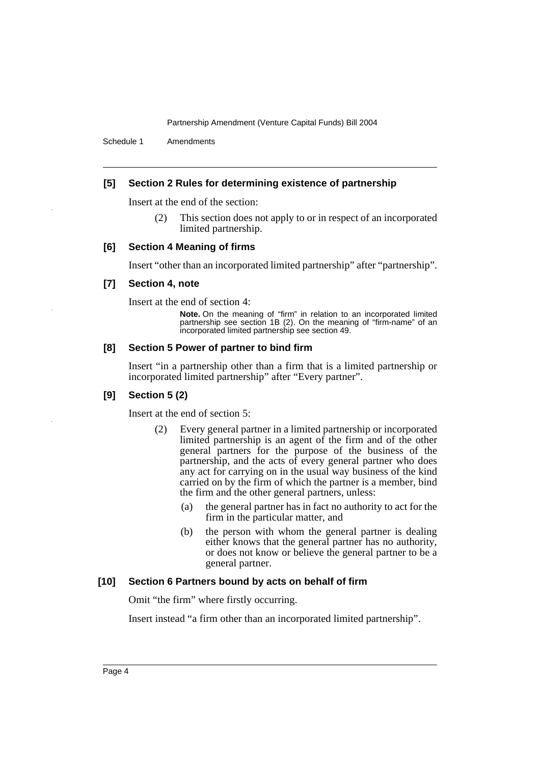Schedule 1 Amendments

## **[5] Section 2 Rules for determining existence of partnership**

Insert at the end of the section:

(2) This section does not apply to or in respect of an incorporated limited partnership.

#### **[6] Section 4 Meaning of firms**

Insert "other than an incorporated limited partnership" after "partnership".

#### **[7] Section 4, note**

Insert at the end of section 4:

**Note.** On the meaning of "firm" in relation to an incorporated limited partnership see section 1B (2). On the meaning of "firm-name" of an incorporated limited partnership see section 49.

### **[8] Section 5 Power of partner to bind firm**

Insert "in a partnership other than a firm that is a limited partnership or incorporated limited partnership" after "Every partner".

#### **[9] Section 5 (2)**

Insert at the end of section 5:

- (2) Every general partner in a limited partnership or incorporated limited partnership is an agent of the firm and of the other general partners for the purpose of the business of the partnership, and the acts of every general partner who does any act for carrying on in the usual way business of the kind carried on by the firm of which the partner is a member, bind the firm and the other general partners, unless:
	- (a) the general partner has in fact no authority to act for the firm in the particular matter, and
	- (b) the person with whom the general partner is dealing either knows that the general partner has no authority, or does not know or believe the general partner to be a general partner.

#### **[10] Section 6 Partners bound by acts on behalf of firm**

Omit "the firm" where firstly occurring.

Insert instead "a firm other than an incorporated limited partnership".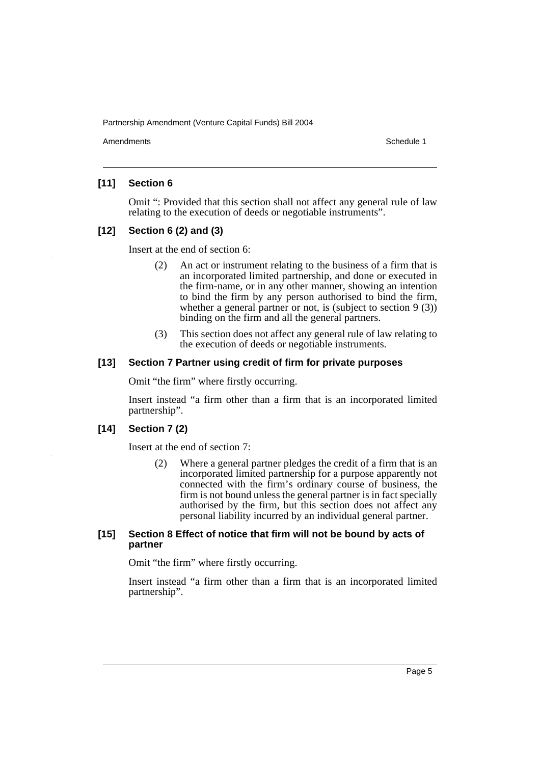Amendments **Amendments** Schedule 1

## **[11] Section 6**

Omit ": Provided that this section shall not affect any general rule of law relating to the execution of deeds or negotiable instruments".

## **[12] Section 6 (2) and (3)**

Insert at the end of section 6:

- (2) An act or instrument relating to the business of a firm that is an incorporated limited partnership, and done or executed in the firm-name, or in any other manner, showing an intention to bind the firm by any person authorised to bind the firm, whether a general partner or not, is (subject to section 9 (3)) binding on the firm and all the general partners.
- (3) This section does not affect any general rule of law relating to the execution of deeds or negotiable instruments.

## **[13] Section 7 Partner using credit of firm for private purposes**

Omit "the firm" where firstly occurring.

Insert instead "a firm other than a firm that is an incorporated limited partnership".

## **[14] Section 7 (2)**

Insert at the end of section 7:

(2) Where a general partner pledges the credit of a firm that is an incorporated limited partnership for a purpose apparently not connected with the firm's ordinary course of business, the firm is not bound unless the general partner is in fact specially authorised by the firm, but this section does not affect any personal liability incurred by an individual general partner.

### **[15] Section 8 Effect of notice that firm will not be bound by acts of partner**

Omit "the firm" where firstly occurring.

Insert instead "a firm other than a firm that is an incorporated limited partnership".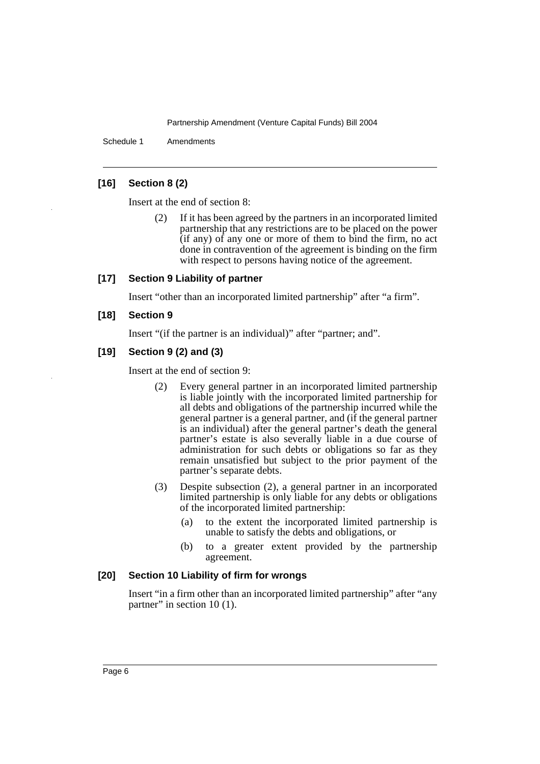Schedule 1 Amendments

## **[16] Section 8 (2)**

Insert at the end of section 8:

(2) If it has been agreed by the partners in an incorporated limited partnership that any restrictions are to be placed on the power  $(i$ f any) of any one or more of them to bind the firm, no act done in contravention of the agreement is binding on the firm with respect to persons having notice of the agreement.

#### **[17] Section 9 Liability of partner**

Insert "other than an incorporated limited partnership" after "a firm".

#### **[18] Section 9**

Insert "(if the partner is an individual)" after "partner; and".

## **[19] Section 9 (2) and (3)**

Insert at the end of section 9:

- (2) Every general partner in an incorporated limited partnership is liable jointly with the incorporated limited partnership for all debts and obligations of the partnership incurred while the general partner is a general partner, and (if the general partner is an individual) after the general partner's death the general partner's estate is also severally liable in a due course of administration for such debts or obligations so far as they remain unsatisfied but subject to the prior payment of the partner's separate debts.
- (3) Despite subsection (2), a general partner in an incorporated limited partnership is only liable for any debts or obligations of the incorporated limited partnership:
	- (a) to the extent the incorporated limited partnership is unable to satisfy the debts and obligations, or
	- (b) to a greater extent provided by the partnership agreement.

### **[20] Section 10 Liability of firm for wrongs**

Insert "in a firm other than an incorporated limited partnership" after "any partner" in section 10 (1).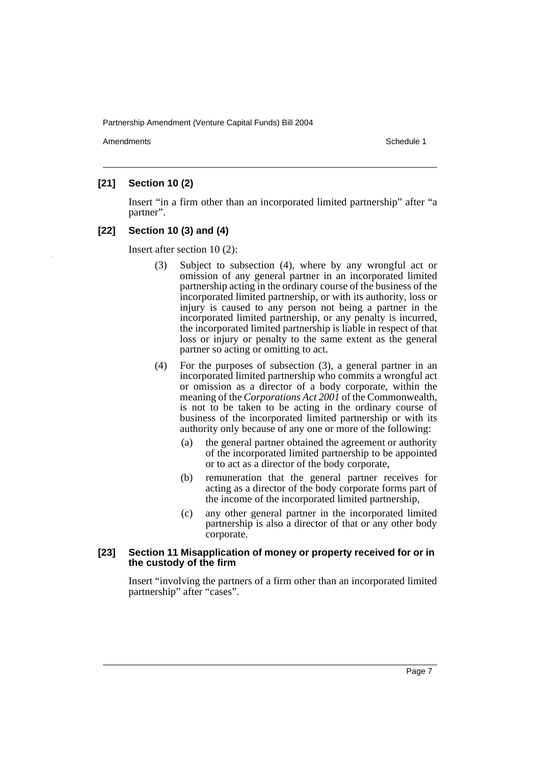Amendments **Amendments** Schedule 1

## **[21] Section 10 (2)**

Insert "in a firm other than an incorporated limited partnership" after "a partner".

## **[22] Section 10 (3) and (4)**

Insert after section 10 (2):

- (3) Subject to subsection (4), where by any wrongful act or omission of any general partner in an incorporated limited partnership acting in the ordinary course of the business of the incorporated limited partnership, or with its authority, loss or injury is caused to any person not being a partner in the incorporated limited partnership, or any penalty is incurred, the incorporated limited partnership is liable in respect of that loss or injury or penalty to the same extent as the general partner so acting or omitting to act.
- (4) For the purposes of subsection (3), a general partner in an incorporated limited partnership who commits a wrongful act or omission as a director of a body corporate, within the meaning of the *Corporations Act 2001* of the Commonwealth, is not to be taken to be acting in the ordinary course of business of the incorporated limited partnership or with its authority only because of any one or more of the following:
	- (a) the general partner obtained the agreement or authority of the incorporated limited partnership to be appointed or to act as a director of the body corporate,
	- (b) remuneration that the general partner receives for acting as a director of the body corporate forms part of the income of the incorporated limited partnership,
	- (c) any other general partner in the incorporated limited partnership is also a director of that or any other body corporate.

#### **[23] Section 11 Misapplication of money or property received for or in the custody of the firm**

Insert "involving the partners of a firm other than an incorporated limited partnership" after "cases".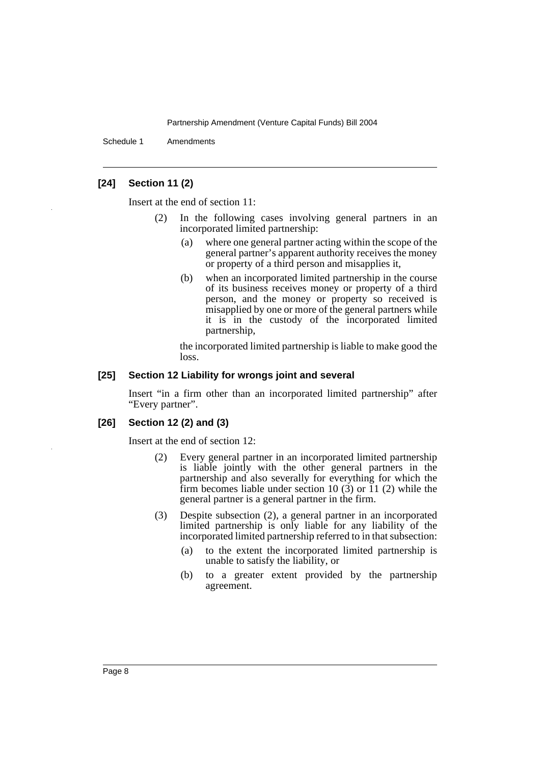Schedule 1 Amendments

## **[24] Section 11 (2)**

Insert at the end of section 11:

- (2) In the following cases involving general partners in an incorporated limited partnership:
	- (a) where one general partner acting within the scope of the general partner's apparent authority receives the money or property of a third person and misapplies it,
	- (b) when an incorporated limited partnership in the course of its business receives money or property of a third person, and the money or property so received is misapplied by one or more of the general partners while it is in the custody of the incorporated limited partnership,

the incorporated limited partnership is liable to make good the loss.

#### **[25] Section 12 Liability for wrongs joint and several**

Insert "in a firm other than an incorporated limited partnership" after "Every partner".

#### **[26] Section 12 (2) and (3)**

Insert at the end of section 12:

- (2) Every general partner in an incorporated limited partnership is liable jointly with the other general partners in the partnership and also severally for everything for which the firm becomes liable under section 10  $(3)$  or 11  $(2)$  while the general partner is a general partner in the firm.
- (3) Despite subsection (2), a general partner in an incorporated limited partnership is only liable for any liability of the incorporated limited partnership referred to in that subsection:
	- (a) to the extent the incorporated limited partnership is unable to satisfy the liability, or
	- (b) to a greater extent provided by the partnership agreement.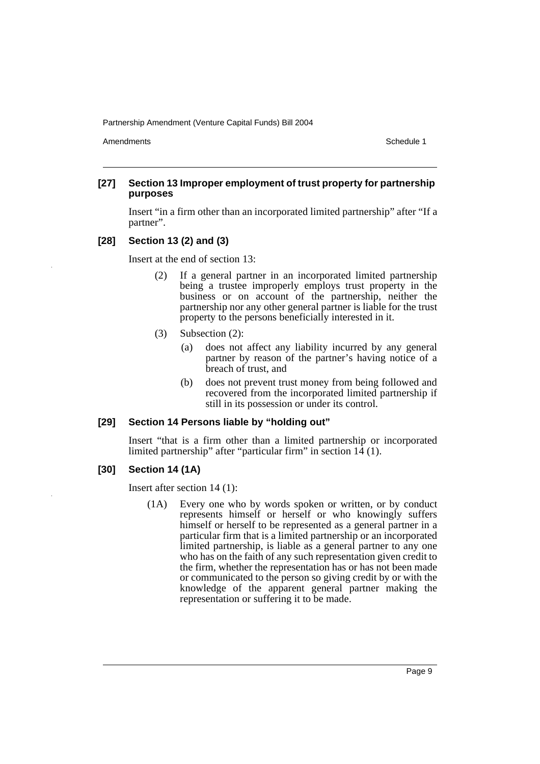Amendments **Amendments** Schedule 1

## **[27] Section 13 Improper employment of trust property for partnership purposes**

Insert "in a firm other than an incorporated limited partnership" after "If a partner".

## **[28] Section 13 (2) and (3)**

Insert at the end of section 13:

- (2) If a general partner in an incorporated limited partnership being a trustee improperly employs trust property in the business or on account of the partnership, neither the partnership nor any other general partner is liable for the trust property to the persons beneficially interested in it.
- (3) Subsection (2):
	- (a) does not affect any liability incurred by any general partner by reason of the partner's having notice of a breach of trust, and
	- (b) does not prevent trust money from being followed and recovered from the incorporated limited partnership if still in its possession or under its control.

#### **[29] Section 14 Persons liable by "holding out"**

Insert "that is a firm other than a limited partnership or incorporated limited partnership" after "particular firm" in section 14 (1).

## **[30] Section 14 (1A)**

Insert after section 14 (1):

(1A) Every one who by words spoken or written, or by conduct represents himself or herself or who knowingly suffers himself or herself to be represented as a general partner in a particular firm that is a limited partnership or an incorporated limited partnership, is liable as a general partner to any one who has on the faith of any such representation given credit to the firm, whether the representation has or has not been made or communicated to the person so giving credit by or with the knowledge of the apparent general partner making the representation or suffering it to be made.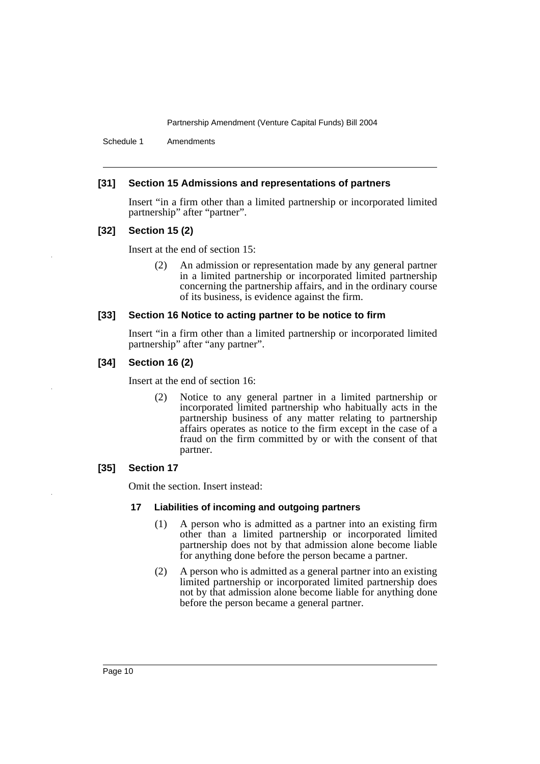Schedule 1 Amendments

## **[31] Section 15 Admissions and representations of partners**

Insert "in a firm other than a limited partnership or incorporated limited partnership" after "partner".

#### **[32] Section 15 (2)**

Insert at the end of section 15:

(2) An admission or representation made by any general partner in a limited partnership or incorporated limited partnership concerning the partnership affairs, and in the ordinary course of its business, is evidence against the firm.

#### **[33] Section 16 Notice to acting partner to be notice to firm**

Insert "in a firm other than a limited partnership or incorporated limited partnership" after "any partner".

#### **[34] Section 16 (2)**

Insert at the end of section 16:

(2) Notice to any general partner in a limited partnership or incorporated limited partnership who habitually acts in the partnership business of any matter relating to partnership affairs operates as notice to the firm except in the case of a fraud on the firm committed by or with the consent of that partner.

## **[35] Section 17**

Omit the section. Insert instead:

## **17 Liabilities of incoming and outgoing partners**

- (1) A person who is admitted as a partner into an existing firm other than a limited partnership or incorporated limited partnership does not by that admission alone become liable for anything done before the person became a partner.
- (2) A person who is admitted as a general partner into an existing limited partnership or incorporated limited partnership does not by that admission alone become liable for anything done before the person became a general partner.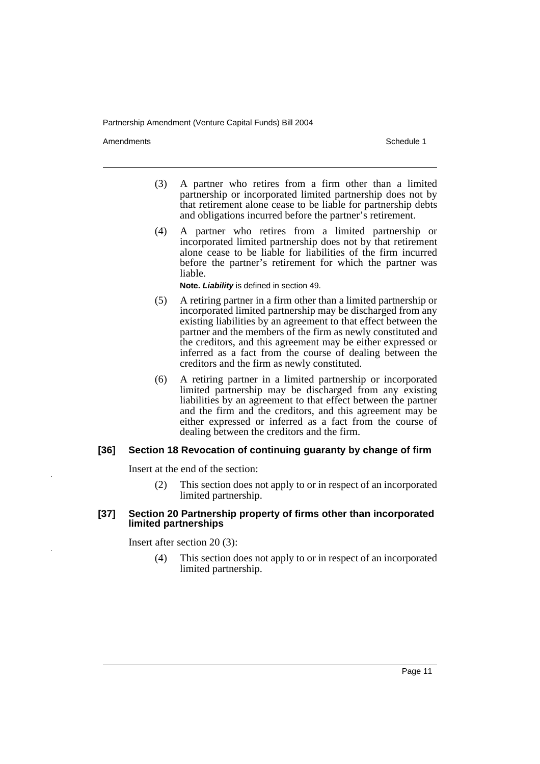Amendments **Amendments** Schedule 1

- (3) A partner who retires from a firm other than a limited partnership or incorporated limited partnership does not by that retirement alone cease to be liable for partnership debts and obligations incurred before the partner's retirement.
- (4) A partner who retires from a limited partnership or incorporated limited partnership does not by that retirement alone cease to be liable for liabilities of the firm incurred before the partner's retirement for which the partner was liable.

**Note. Liability** is defined in section 49.

- (5) A retiring partner in a firm other than a limited partnership or incorporated limited partnership may be discharged from any existing liabilities by an agreement to that effect between the partner and the members of the firm as newly constituted and the creditors, and this agreement may be either expressed or inferred as a fact from the course of dealing between the creditors and the firm as newly constituted.
- (6) A retiring partner in a limited partnership or incorporated limited partnership may be discharged from any existing liabilities by an agreement to that effect between the partner and the firm and the creditors, and this agreement may be either expressed or inferred as a fact from the course of dealing between the creditors and the firm.

#### **[36] Section 18 Revocation of continuing guaranty by change of firm**

Insert at the end of the section:

(2) This section does not apply to or in respect of an incorporated limited partnership.

### **[37] Section 20 Partnership property of firms other than incorporated limited partnerships**

Insert after section 20 (3):

(4) This section does not apply to or in respect of an incorporated limited partnership.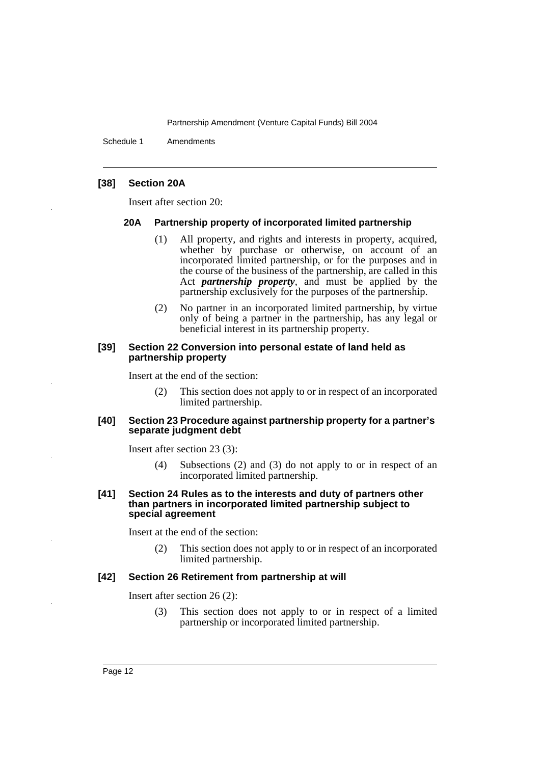Schedule 1 Amendments

## **[38] Section 20A**

Insert after section 20:

#### **20A Partnership property of incorporated limited partnership**

- (1) All property, and rights and interests in property, acquired, whether by purchase or otherwise, on account of an incorporated limited partnership, or for the purposes and in the course of the business of the partnership, are called in this Act *partnership property*, and must be applied by the partnership exclusively for the purposes of the partnership.
- (2) No partner in an incorporated limited partnership, by virtue only of being a partner in the partnership, has any legal or beneficial interest in its partnership property.

#### **[39] Section 22 Conversion into personal estate of land held as partnership property**

Insert at the end of the section:

(2) This section does not apply to or in respect of an incorporated limited partnership.

#### **[40] Section 23 Procedure against partnership property for a partner's separate judgment debt**

Insert after section 23 (3):

- (4) Subsections (2) and (3) do not apply to or in respect of an incorporated limited partnership.
- **[41] Section 24 Rules as to the interests and duty of partners other than partners in incorporated limited partnership subject to special agreement**

Insert at the end of the section:

(2) This section does not apply to or in respect of an incorporated limited partnership.

#### **[42] Section 26 Retirement from partnership at will**

Insert after section 26 (2):

(3) This section does not apply to or in respect of a limited partnership or incorporated limited partnership.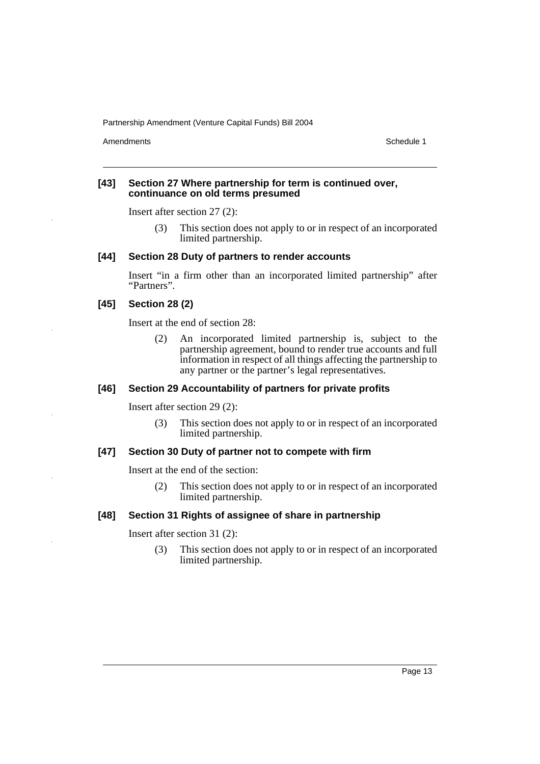Amendments **Schedule 1** and the set of the set of the set of the set of the set of the set of the set of the set of the set of the set of the set of the set of the set of the set of the set of the set of the set of the set

#### **[43] Section 27 Where partnership for term is continued over, continuance on old terms presumed**

Insert after section 27 (2):

(3) This section does not apply to or in respect of an incorporated limited partnership.

## **[44] Section 28 Duty of partners to render accounts**

Insert "in a firm other than an incorporated limited partnership" after "Partners".

## **[45] Section 28 (2)**

Insert at the end of section 28:

(2) An incorporated limited partnership is, subject to the partnership agreement, bound to render true accounts and full information in respect of all things affecting the partnership to any partner or the partner's legal representatives.

## **[46] Section 29 Accountability of partners for private profits**

Insert after section 29 (2):

(3) This section does not apply to or in respect of an incorporated limited partnership.

#### **[47] Section 30 Duty of partner not to compete with firm**

Insert at the end of the section:

(2) This section does not apply to or in respect of an incorporated limited partnership.

## **[48] Section 31 Rights of assignee of share in partnership**

Insert after section 31 (2):

(3) This section does not apply to or in respect of an incorporated limited partnership.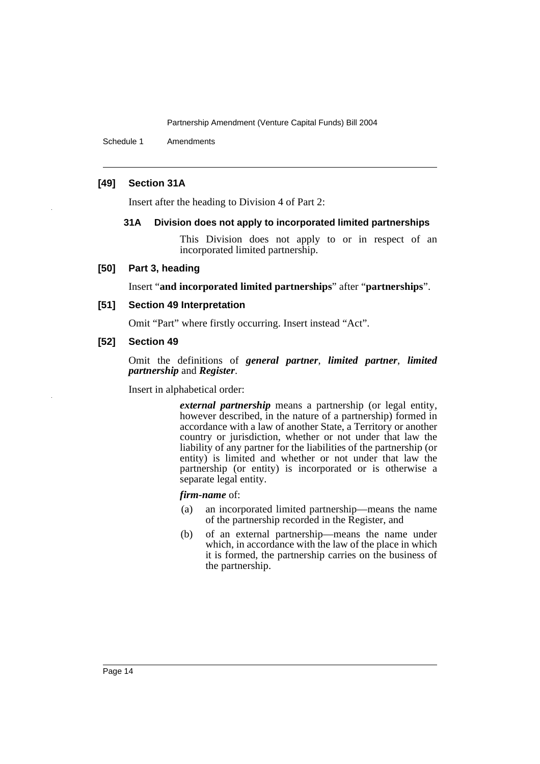Schedule 1 Amendments

## **[49] Section 31A**

Insert after the heading to Division 4 of Part 2:

#### **31A Division does not apply to incorporated limited partnerships**

This Division does not apply to or in respect of an incorporated limited partnership.

#### **[50] Part 3, heading**

Insert "**and incorporated limited partnerships**" after "**partnerships**".

#### **[51] Section 49 Interpretation**

Omit "Part" where firstly occurring. Insert instead "Act".

## **[52] Section 49**

Omit the definitions of *general partner*, *limited partner*, *limited partnership* and *Register*.

Insert in alphabetical order:

*external partnership* means a partnership (or legal entity, however described, in the nature of a partnership) formed in accordance with a law of another State, a Territory or another country or jurisdiction, whether or not under that law the liability of any partner for the liabilities of the partnership (or entity) is limited and whether or not under that law the partnership (or entity) is incorporated or is otherwise a separate legal entity.

#### *firm-name* of:

- (a) an incorporated limited partnership—means the name of the partnership recorded in the Register, and
- (b) of an external partnership—means the name under which, in accordance with the law of the place in which it is formed, the partnership carries on the business of the partnership.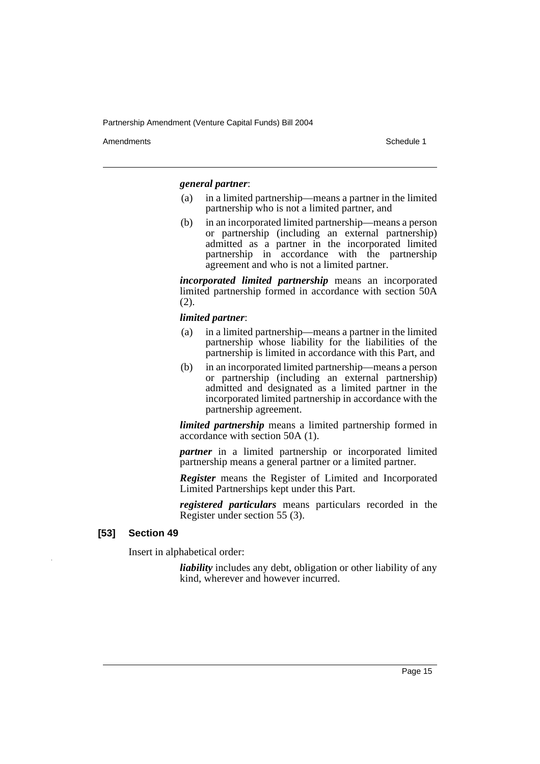Amendments **Amendments** Schedule 1

#### *general partner*:

- (a) in a limited partnership—means a partner in the limited partnership who is not a limited partner, and
- (b) in an incorporated limited partnership—means a person or partnership (including an external partnership) admitted as a partner in the incorporated limited partnership in accordance with the partnership agreement and who is not a limited partner.

*incorporated limited partnership* means an incorporated limited partnership formed in accordance with section 50A (2).

#### *limited partner*:

- (a) in a limited partnership—means a partner in the limited partnership whose liability for the liabilities of the partnership is limited in accordance with this Part, and
- (b) in an incorporated limited partnership—means a person or partnership (including an external partnership) admitted and designated as a limited partner in the incorporated limited partnership in accordance with the partnership agreement.

*limited partnership* means a limited partnership formed in accordance with section 50A (1).

*partner* in a limited partnership or incorporated limited partnership means a general partner or a limited partner.

*Register* means the Register of Limited and Incorporated Limited Partnerships kept under this Part.

*registered particulars* means particulars recorded in the Register under section 55 (3).

## **[53] Section 49**

Insert in alphabetical order:

*liability* includes any debt, obligation or other liability of any kind, wherever and however incurred.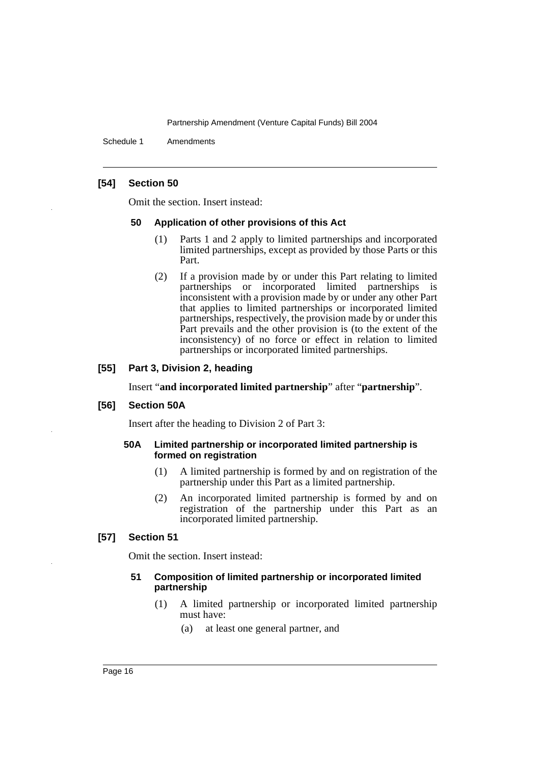Schedule 1 Amendments

## **[54] Section 50**

Omit the section. Insert instead:

#### **50 Application of other provisions of this Act**

- (1) Parts 1 and 2 apply to limited partnerships and incorporated limited partnerships, except as provided by those Parts or this Part.
- (2) If a provision made by or under this Part relating to limited partnerships or incorporated limited partnerships is inconsistent with a provision made by or under any other Part that applies to limited partnerships or incorporated limited partnerships, respectively, the provision made by or under this Part prevails and the other provision is (to the extent of the inconsistency) of no force or effect in relation to limited partnerships or incorporated limited partnerships.

## **[55] Part 3, Division 2, heading**

Insert "**and incorporated limited partnership**" after "**partnership**".

#### **[56] Section 50A**

Insert after the heading to Division 2 of Part 3:

#### **50A Limited partnership or incorporated limited partnership is formed on registration**

- (1) A limited partnership is formed by and on registration of the partnership under this Part as a limited partnership.
- (2) An incorporated limited partnership is formed by and on registration of the partnership under this Part as an incorporated limited partnership.

## **[57] Section 51**

Omit the section. Insert instead:

### **51 Composition of limited partnership or incorporated limited partnership**

- (1) A limited partnership or incorporated limited partnership must have:
	- (a) at least one general partner, and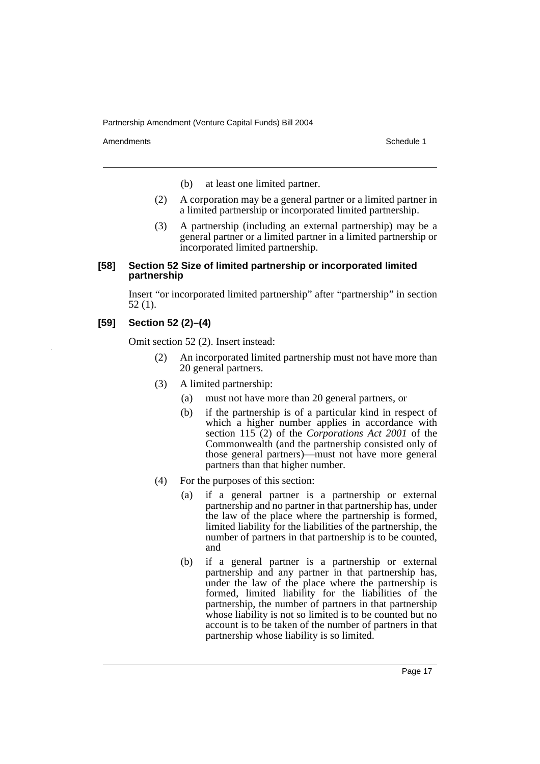Amendments **Amendments** Schedule 1

- (b) at least one limited partner.
- (2) A corporation may be a general partner or a limited partner in a limited partnership or incorporated limited partnership.
- (3) A partnership (including an external partnership) may be a general partner or a limited partner in a limited partnership or incorporated limited partnership.

## **[58] Section 52 Size of limited partnership or incorporated limited partnership**

Insert "or incorporated limited partnership" after "partnership" in section 52 (1).

## **[59] Section 52 (2)–(4)**

Omit section 52 (2). Insert instead:

- (2) An incorporated limited partnership must not have more than 20 general partners.
- (3) A limited partnership:
	- (a) must not have more than 20 general partners, or
	- (b) if the partnership is of a particular kind in respect of which a higher number applies in accordance with section 115 (2) of the *Corporations Act 2001* of the Commonwealth (and the partnership consisted only of those general partners)—must not have more general partners than that higher number.
- (4) For the purposes of this section:
	- (a) if a general partner is a partnership or external partnership and no partner in that partnership has, under the law of the place where the partnership is formed, limited liability for the liabilities of the partnership, the number of partners in that partnership is to be counted, and
	- (b) if a general partner is a partnership or external partnership and any partner in that partnership has, under the law of the place where the partnership is formed, limited liability for the liabilities of the partnership, the number of partners in that partnership whose liability is not so limited is to be counted but no account is to be taken of the number of partners in that partnership whose liability is so limited.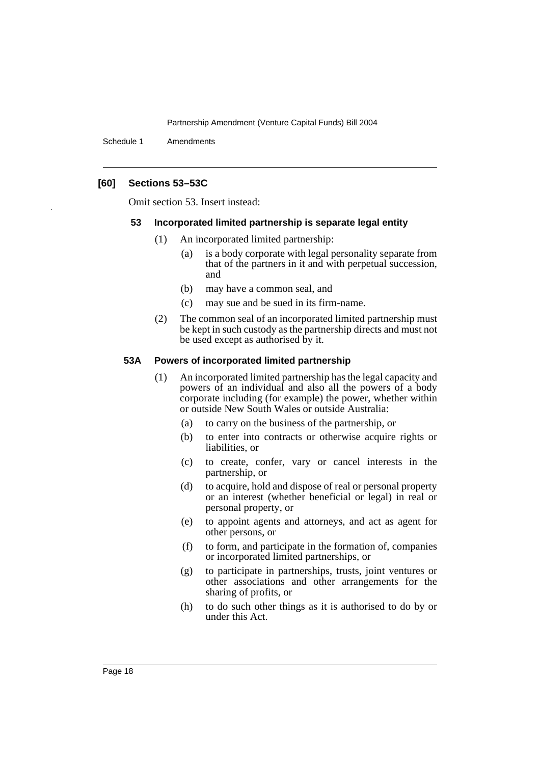Schedule 1 Amendments

## **[60] Sections 53–53C**

Omit section 53. Insert instead:

#### **53 Incorporated limited partnership is separate legal entity**

- (1) An incorporated limited partnership:
	- (a) is a body corporate with legal personality separate from that of the partners in it and with perpetual succession, and
	- (b) may have a common seal, and
	- (c) may sue and be sued in its firm-name.
- (2) The common seal of an incorporated limited partnership must be kept in such custody as the partnership directs and must not be used except as authorised by it.

#### **53A Powers of incorporated limited partnership**

- (1) An incorporated limited partnership has the legal capacity and powers of an individual and also all the powers of a body corporate including (for example) the power, whether within or outside New South Wales or outside Australia:
	- (a) to carry on the business of the partnership, or
	- (b) to enter into contracts or otherwise acquire rights or liabilities, or
	- (c) to create, confer, vary or cancel interests in the partnership, or
	- (d) to acquire, hold and dispose of real or personal property or an interest (whether beneficial or legal) in real or personal property, or
	- (e) to appoint agents and attorneys, and act as agent for other persons, or
	- (f) to form, and participate in the formation of, companies or incorporated limited partnerships, or
	- (g) to participate in partnerships, trusts, joint ventures or other associations and other arrangements for the sharing of profits, or
	- (h) to do such other things as it is authorised to do by or under this Act.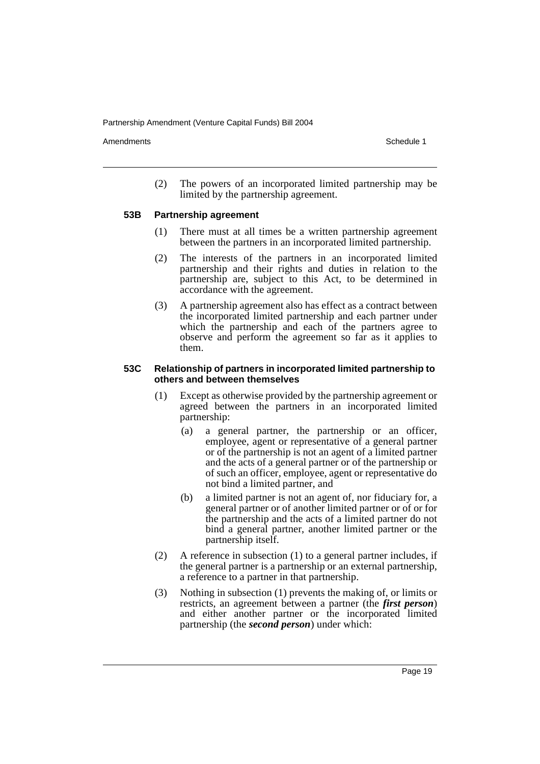Amendments **Amendments** Schedule 1

(2) The powers of an incorporated limited partnership may be limited by the partnership agreement.

#### **53B Partnership agreement**

- (1) There must at all times be a written partnership agreement between the partners in an incorporated limited partnership.
- (2) The interests of the partners in an incorporated limited partnership and their rights and duties in relation to the partnership are, subject to this Act, to be determined in accordance with the agreement.
- (3) A partnership agreement also has effect as a contract between the incorporated limited partnership and each partner under which the partnership and each of the partners agree to observe and perform the agreement so far as it applies to them.

#### **53C Relationship of partners in incorporated limited partnership to others and between themselves**

- (1) Except as otherwise provided by the partnership agreement or agreed between the partners in an incorporated limited partnership:
	- (a) a general partner, the partnership or an officer, employee, agent or representative of a general partner or of the partnership is not an agent of a limited partner and the acts of a general partner or of the partnership or of such an officer, employee, agent or representative do not bind a limited partner, and
	- (b) a limited partner is not an agent of, nor fiduciary for, a general partner or of another limited partner or of or for the partnership and the acts of a limited partner do not bind a general partner, another limited partner or the partnership itself.
- (2) A reference in subsection (1) to a general partner includes, if the general partner is a partnership or an external partnership, a reference to a partner in that partnership.
- (3) Nothing in subsection (1) prevents the making of, or limits or restricts, an agreement between a partner (the *first person*) and either another partner or the incorporated limited partnership (the *second person*) under which: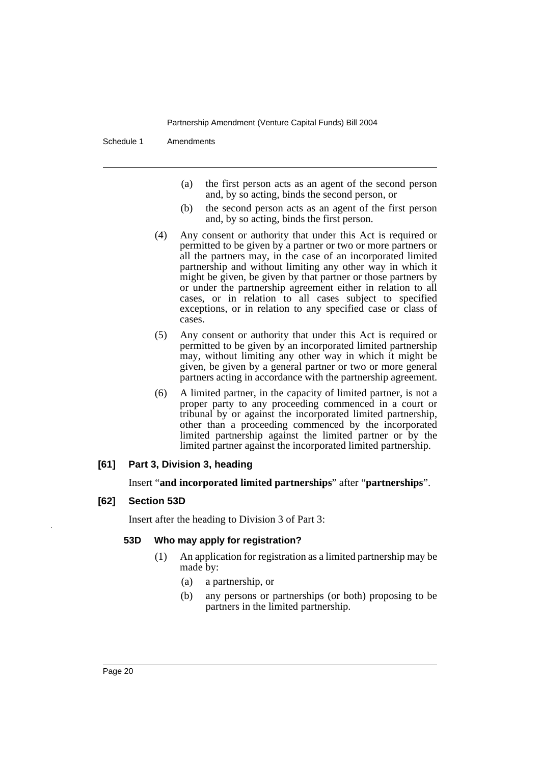Schedule 1 Amendments

- (a) the first person acts as an agent of the second person and, by so acting, binds the second person, or
- (b) the second person acts as an agent of the first person and, by so acting, binds the first person.
- (4) Any consent or authority that under this Act is required or permitted to be given by a partner or two or more partners or all the partners may, in the case of an incorporated limited partnership and without limiting any other way in which it might be given, be given by that partner or those partners by or under the partnership agreement either in relation to all cases, or in relation to all cases subject to specified exceptions, or in relation to any specified case or class of cases.
- (5) Any consent or authority that under this Act is required or permitted to be given by an incorporated limited partnership may, without limiting any other way in which it might be given, be given by a general partner or two or more general partners acting in accordance with the partnership agreement.
- (6) A limited partner, in the capacity of limited partner, is not a proper party to any proceeding commenced in a court or tribunal by or against the incorporated limited partnership, other than a proceeding commenced by the incorporated limited partnership against the limited partner or by the limited partner against the incorporated limited partnership.

## **[61] Part 3, Division 3, heading**

Insert "**and incorporated limited partnerships**" after "**partnerships**".

## **[62] Section 53D**

Insert after the heading to Division 3 of Part 3:

#### **53D Who may apply for registration?**

- (1) An application for registration as a limited partnership may be made by:
	- (a) a partnership, or
	- (b) any persons or partnerships (or both) proposing to be partners in the limited partnership.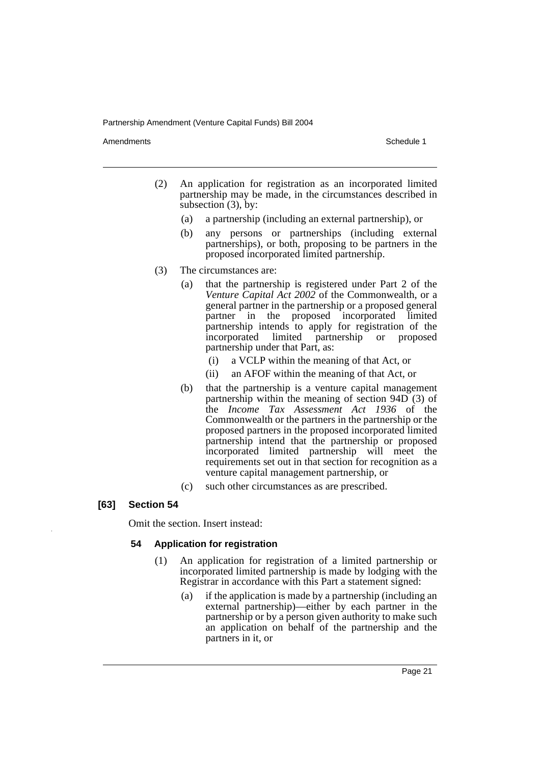Amendments **Amendments** Schedule 1

- (2) An application for registration as an incorporated limited partnership may be made, in the circumstances described in subsection (3), by:
	- (a) a partnership (including an external partnership), or
	- (b) any persons or partnerships (including external partnerships), or both, proposing to be partners in the proposed incorporated limited partnership.
- (3) The circumstances are:
	- (a) that the partnership is registered under Part 2 of the *Venture Capital Act 2002* of the Commonwealth, or a general partner in the partnership or a proposed general partner in the proposed incorporated limited partnership intends to apply for registration of the incorporated limited partnership or proposed partnership under that Part, as:
		- (i) a VCLP within the meaning of that Act, or
		- (ii) an AFOF within the meaning of that Act, or
	- (b) that the partnership is a venture capital management partnership within the meaning of section 94D (3) of the *Income Tax Assessment Act 1936* of the Commonwealth or the partners in the partnership or the proposed partners in the proposed incorporated limited partnership intend that the partnership or proposed incorporated limited partnership will meet the requirements set out in that section for recognition as a venture capital management partnership, or
	- (c) such other circumstances as are prescribed.

## **[63] Section 54**

Omit the section. Insert instead:

## **54 Application for registration**

- (1) An application for registration of a limited partnership or incorporated limited partnership is made by lodging with the Registrar in accordance with this Part a statement signed:
	- (a) if the application is made by a partnership (including an external partnership)—either by each partner in the partnership or by a person given authority to make such an application on behalf of the partnership and the partners in it, or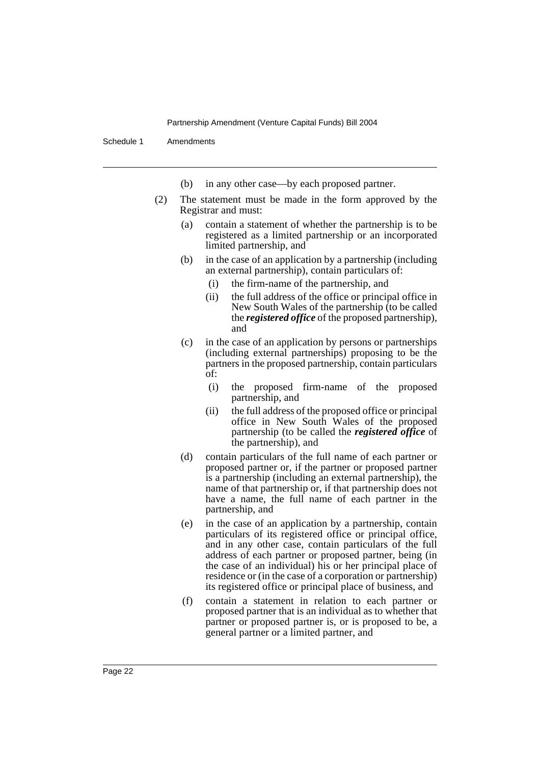Schedule 1 Amendments

- (b) in any other case—by each proposed partner.
- (2) The statement must be made in the form approved by the Registrar and must:
	- (a) contain a statement of whether the partnership is to be registered as a limited partnership or an incorporated limited partnership, and
	- (b) in the case of an application by a partnership (including an external partnership), contain particulars of:
		- (i) the firm-name of the partnership, and
		- (ii) the full address of the office or principal office in New South Wales of the partnership (to be called the *registered office* of the proposed partnership), and
	- (c) in the case of an application by persons or partnerships (including external partnerships) proposing to be the partners in the proposed partnership, contain particulars of:
		- (i) the proposed firm-name of the proposed partnership, and
		- (ii) the full address of the proposed office or principal office in New South Wales of the proposed partnership (to be called the *registered office* of the partnership), and
	- (d) contain particulars of the full name of each partner or proposed partner or, if the partner or proposed partner is a partnership (including an external partnership), the name of that partnership or, if that partnership does not have a name, the full name of each partner in the partnership, and
	- (e) in the case of an application by a partnership, contain particulars of its registered office or principal office, and in any other case, contain particulars of the full address of each partner or proposed partner, being (in the case of an individual) his or her principal place of residence or (in the case of a corporation or partnership) its registered office or principal place of business, and
	- (f) contain a statement in relation to each partner or proposed partner that is an individual as to whether that partner or proposed partner is, or is proposed to be, a general partner or a limited partner, and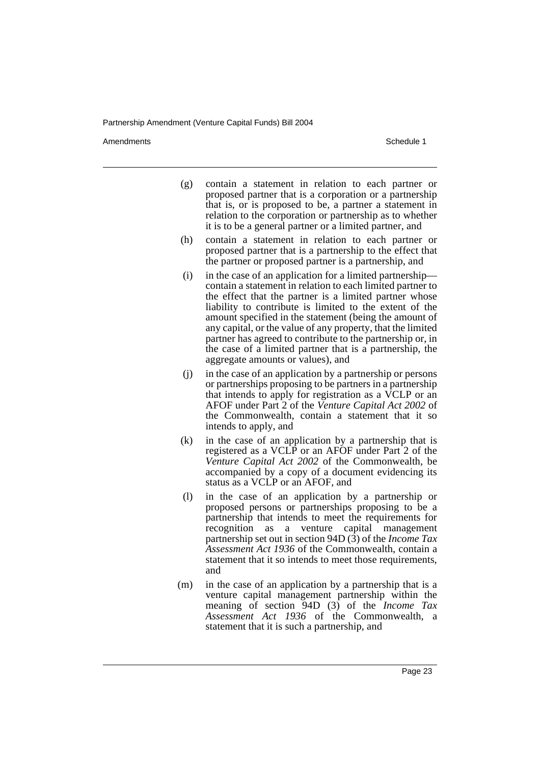Amendments **Amendments** Schedule 1

- (g) contain a statement in relation to each partner or proposed partner that is a corporation or a partnership that is, or is proposed to be, a partner a statement in relation to the corporation or partnership as to whether it is to be a general partner or a limited partner, and
- (h) contain a statement in relation to each partner or proposed partner that is a partnership to the effect that the partner or proposed partner is a partnership, and
- (i) in the case of an application for a limited partnership contain a statement in relation to each limited partner to the effect that the partner is a limited partner whose liability to contribute is limited to the extent of the amount specified in the statement (being the amount of any capital, or the value of any property, that the limited partner has agreed to contribute to the partnership or, in the case of a limited partner that is a partnership, the aggregate amounts or values), and
- (j) in the case of an application by a partnership or persons or partnerships proposing to be partners in a partnership that intends to apply for registration as a VCLP or an AFOF under Part 2 of the *Venture Capital Act 2002* of the Commonwealth, contain a statement that it so intends to apply, and
- (k) in the case of an application by a partnership that is registered as a VCLP or an AFOF under Part 2 of the *Venture Capital Act 2002* of the Commonwealth, be accompanied by a copy of a document evidencing its status as a VCLP or an AFOF, and
- (l) in the case of an application by a partnership or proposed persons or partnerships proposing to be a partnership that intends to meet the requirements for recognition as a venture capital management partnership set out in section 94D (3) of the *Income Tax Assessment Act 1936* of the Commonwealth, contain a statement that it so intends to meet those requirements, and
- (m) in the case of an application by a partnership that is a venture capital management partnership within the meaning of section 94D (3) of the *Income Tax Assessment Act 1936* of the Commonwealth, a statement that it is such a partnership, and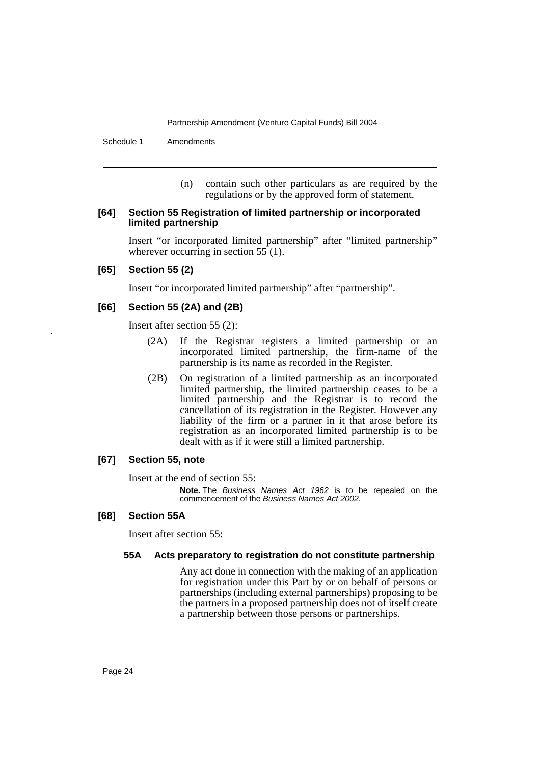Schedule 1 Amendments

(n) contain such other particulars as are required by the regulations or by the approved form of statement.

#### **[64] Section 55 Registration of limited partnership or incorporated limited partnership**

Insert "or incorporated limited partnership" after "limited partnership" wherever occurring in section 55 (1).

#### **[65] Section 55 (2)**

Insert "or incorporated limited partnership" after "partnership".

#### **[66] Section 55 (2A) and (2B)**

Insert after section 55 (2):

- (2A) If the Registrar registers a limited partnership or an incorporated limited partnership, the firm-name of the partnership is its name as recorded in the Register.
- (2B) On registration of a limited partnership as an incorporated limited partnership, the limited partnership ceases to be a limited partnership and the Registrar is to record the cancellation of its registration in the Register. However any liability of the firm or a partner in it that arose before its registration as an incorporated limited partnership is to be dealt with as if it were still a limited partnership.

#### **[67] Section 55, note**

Insert at the end of section 55:

**Note.** The Business Names Act 1962 is to be repealed on the commencement of the Business Names Act 2002.

#### **[68] Section 55A**

Insert after section 55:

#### **55A Acts preparatory to registration do not constitute partnership**

Any act done in connection with the making of an application for registration under this Part by or on behalf of persons or partnerships (including external partnerships) proposing to be the partners in a proposed partnership does not of itself create a partnership between those persons or partnerships.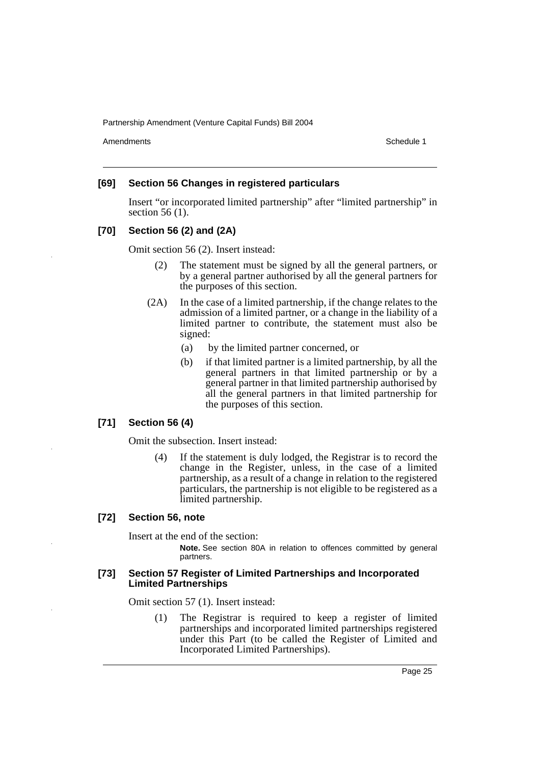Amendments **Amendments** Schedule 1

#### **[69] Section 56 Changes in registered particulars**

Insert "or incorporated limited partnership" after "limited partnership" in section 56 (1).

## **[70] Section 56 (2) and (2A)**

Omit section 56 (2). Insert instead:

- (2) The statement must be signed by all the general partners, or by a general partner authorised by all the general partners for the purposes of this section.
- (2A) In the case of a limited partnership, if the change relates to the admission of a limited partner, or a change in the liability of a limited partner to contribute, the statement must also be signed:
	- (a) by the limited partner concerned, or
	- (b) if that limited partner is a limited partnership, by all the general partners in that limited partnership or by a general partner in that limited partnership authorised by all the general partners in that limited partnership for the purposes of this section.

#### **[71] Section 56 (4)**

Omit the subsection. Insert instead:

(4) If the statement is duly lodged, the Registrar is to record the change in the Register, unless, in the case of a limited partnership, as a result of a change in relation to the registered particulars, the partnership is not eligible to be registered as a limited partnership.

#### **[72] Section 56, note**

Insert at the end of the section:

**Note.** See section 80A in relation to offences committed by general partners.

#### **[73] Section 57 Register of Limited Partnerships and Incorporated Limited Partnerships**

Omit section 57 (1). Insert instead:

(1) The Registrar is required to keep a register of limited partnerships and incorporated limited partnerships registered under this Part (to be called the Register of Limited and Incorporated Limited Partnerships).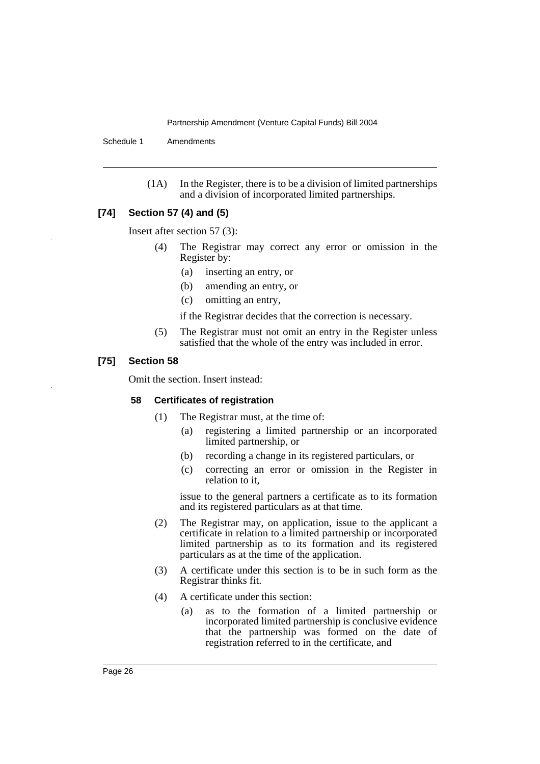Schedule 1 Amendments

(1A) In the Register, there is to be a division of limited partnerships and a division of incorporated limited partnerships.

## **[74] Section 57 (4) and (5)**

Insert after section 57 (3):

- (4) The Registrar may correct any error or omission in the Register by:
	- (a) inserting an entry, or
	- (b) amending an entry, or
	- (c) omitting an entry,
	- if the Registrar decides that the correction is necessary.
- (5) The Registrar must not omit an entry in the Register unless satisfied that the whole of the entry was included in error.

#### **[75] Section 58**

Omit the section. Insert instead:

#### **58 Certificates of registration**

- (1) The Registrar must, at the time of:
	- (a) registering a limited partnership or an incorporated limited partnership, or
	- (b) recording a change in its registered particulars, or
	- (c) correcting an error or omission in the Register in relation to it.

issue to the general partners a certificate as to its formation and its registered particulars as at that time.

- (2) The Registrar may, on application, issue to the applicant a certificate in relation to a limited partnership or incorporated limited partnership as to its formation and its registered particulars as at the time of the application.
- (3) A certificate under this section is to be in such form as the Registrar thinks fit.
- (4) A certificate under this section:
	- (a) as to the formation of a limited partnership or incorporated limited partnership is conclusive evidence that the partnership was formed on the date of registration referred to in the certificate, and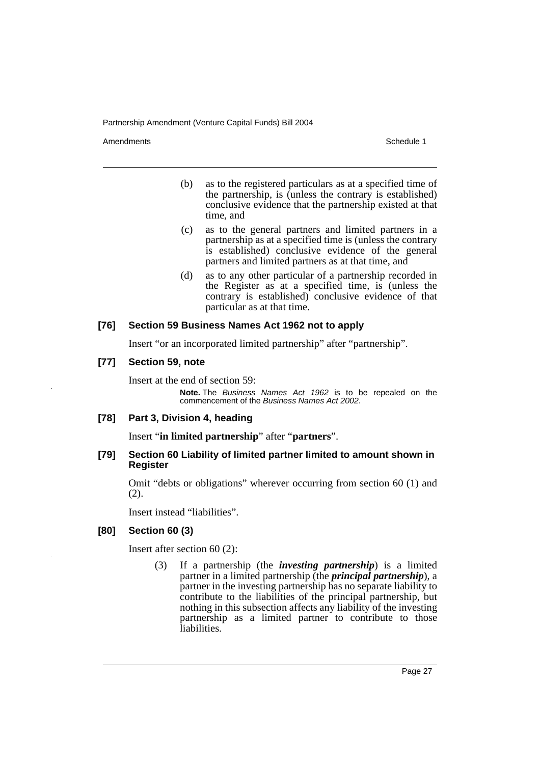Amendments **Amendments** Schedule 1

- (b) as to the registered particulars as at a specified time of the partnership, is (unless the contrary is established) conclusive evidence that the partnership existed at that time, and
- (c) as to the general partners and limited partners in a partnership as at a specified time is (unless the contrary is established) conclusive evidence of the general partners and limited partners as at that time, and
- (d) as to any other particular of a partnership recorded in the Register as at a specified time, is (unless the contrary is established) conclusive evidence of that particular as at that time.

## **[76] Section 59 Business Names Act 1962 not to apply**

Insert "or an incorporated limited partnership" after "partnership".

## **[77] Section 59, note**

Insert at the end of section 59:

**Note.** The Business Names Act 1962 is to be repealed on the commencement of the Business Names Act 2002.

## **[78] Part 3, Division 4, heading**

Insert "**in limited partnership**" after "**partners**".

## **[79] Section 60 Liability of limited partner limited to amount shown in Register**

Omit "debts or obligations" wherever occurring from section 60 (1) and (2).

Insert instead "liabilities".

## **[80] Section 60 (3)**

Insert after section 60 (2):

(3) If a partnership (the *investing partnership*) is a limited partner in a limited partnership (the *principal partnership*), a partner in the investing partnership has no separate liability to contribute to the liabilities of the principal partnership, but nothing in this subsection affects any liability of the investing partnership as a limited partner to contribute to those liabilities.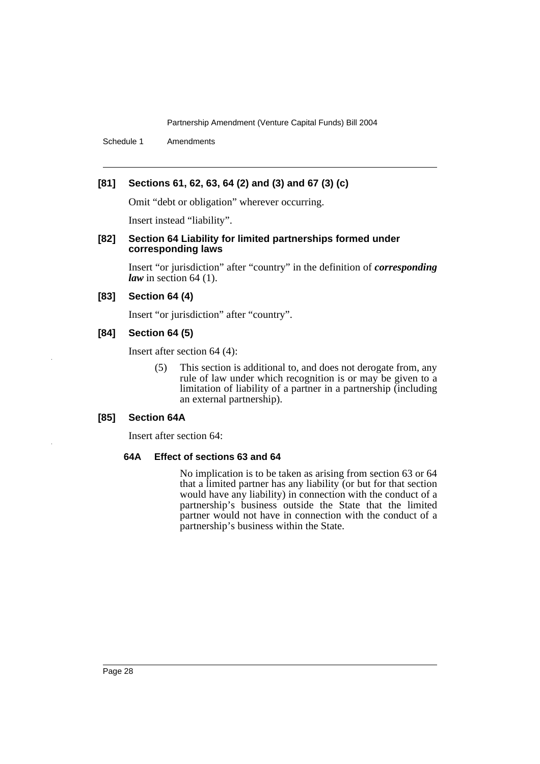Schedule 1 Amendments

## **[81] Sections 61, 62, 63, 64 (2) and (3) and 67 (3) (c)**

Omit "debt or obligation" wherever occurring.

Insert instead "liability".

#### **[82] Section 64 Liability for limited partnerships formed under corresponding laws**

Insert "or jurisdiction" after "country" in the definition of *corresponding law* in section 64 (1).

#### **[83] Section 64 (4)**

Insert "or jurisdiction" after "country".

## **[84] Section 64 (5)**

Insert after section 64 (4):

(5) This section is additional to, and does not derogate from, any rule of law under which recognition is or may be given to a limitation of liability of a partner in a partnership (including an external partnership).

## **[85] Section 64A**

Insert after section 64:

#### **64A Effect of sections 63 and 64**

No implication is to be taken as arising from section 63 or 64 that a limited partner has any liability (or but for that section would have any liability) in connection with the conduct of a partnership's business outside the State that the limited partner would not have in connection with the conduct of a partnership's business within the State.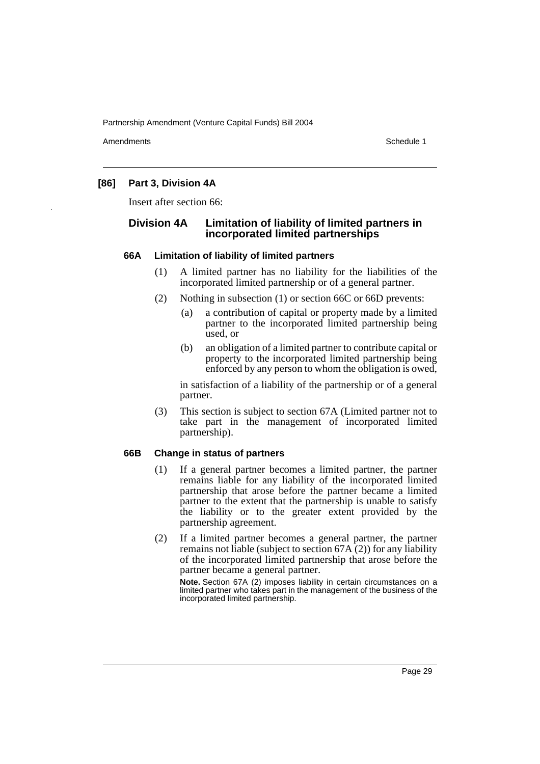Amendments **Amendments** Schedule 1

## **[86] Part 3, Division 4A**

Insert after section 66:

## **Division 4A Limitation of liability of limited partners in incorporated limited partnerships**

#### **66A Limitation of liability of limited partners**

- (1) A limited partner has no liability for the liabilities of the incorporated limited partnership or of a general partner.
- (2) Nothing in subsection (1) or section 66C or 66D prevents:
	- (a) a contribution of capital or property made by a limited partner to the incorporated limited partnership being used, or
	- (b) an obligation of a limited partner to contribute capital or property to the incorporated limited partnership being enforced by any person to whom the obligation is owed,

in satisfaction of a liability of the partnership or of a general partner.

(3) This section is subject to section 67A (Limited partner not to take part in the management of incorporated limited partnership).

## **66B Change in status of partners**

- (1) If a general partner becomes a limited partner, the partner remains liable for any liability of the incorporated limited partnership that arose before the partner became a limited partner to the extent that the partnership is unable to satisfy the liability or to the greater extent provided by the partnership agreement.
- (2) If a limited partner becomes a general partner, the partner remains not liable (subject to section  $67A(2)$ ) for any liability of the incorporated limited partnership that arose before the partner became a general partner.

**Note.** Section 67A (2) imposes liability in certain circumstances on a limited partner who takes part in the management of the business of the incorporated limited partnership.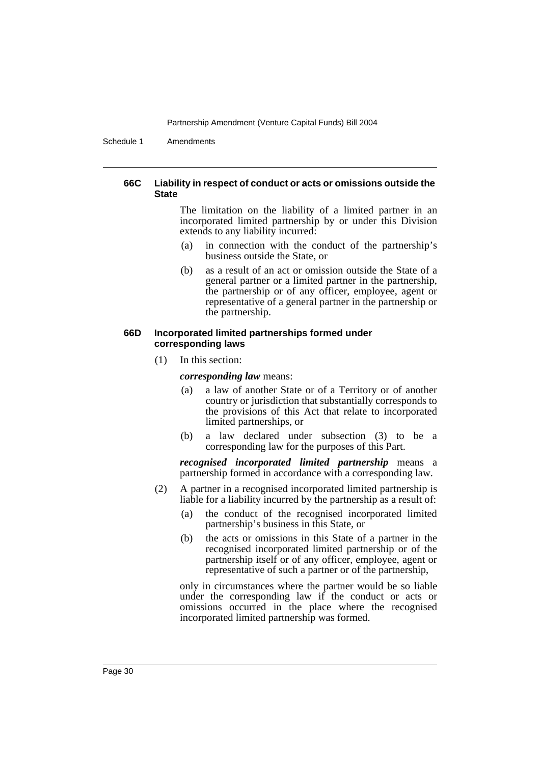Schedule 1 Amendments

#### **66C Liability in respect of conduct or acts or omissions outside the State**

The limitation on the liability of a limited partner in an incorporated limited partnership by or under this Division extends to any liability incurred:

- (a) in connection with the conduct of the partnership's business outside the State, or
- (b) as a result of an act or omission outside the State of a general partner or a limited partner in the partnership, the partnership or of any officer, employee, agent or representative of a general partner in the partnership or the partnership.

## **66D Incorporated limited partnerships formed under corresponding laws**

(1) In this section:

*corresponding law* means:

- (a) a law of another State or of a Territory or of another country or jurisdiction that substantially corresponds to the provisions of this Act that relate to incorporated limited partnerships, or
- (b) a law declared under subsection (3) to be a corresponding law for the purposes of this Part.

*recognised incorporated limited partnership* means a partnership formed in accordance with a corresponding law.

- (2) A partner in a recognised incorporated limited partnership is liable for a liability incurred by the partnership as a result of:
	- (a) the conduct of the recognised incorporated limited partnership's business in this State, or
	- (b) the acts or omissions in this State of a partner in the recognised incorporated limited partnership or of the partnership itself or of any officer, employee, agent or representative of such a partner or of the partnership,

only in circumstances where the partner would be so liable under the corresponding law if the conduct or acts or omissions occurred in the place where the recognised incorporated limited partnership was formed.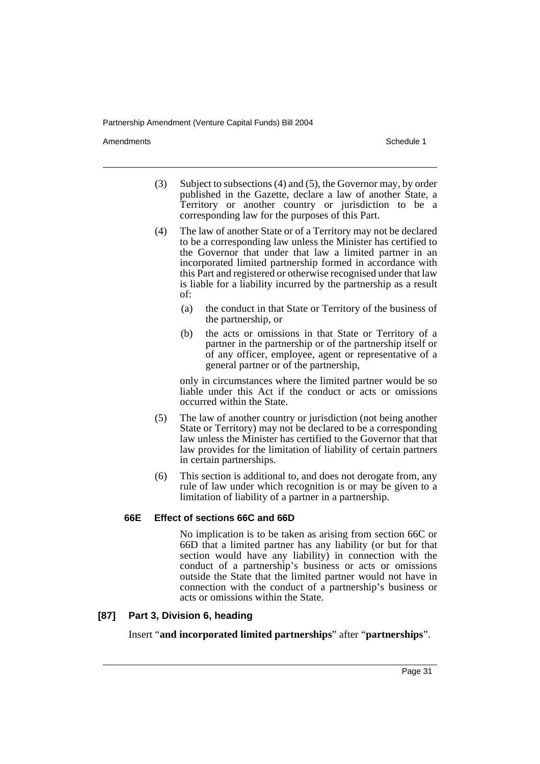Amendments **Amendments** Schedule 1

- (3) Subject to subsections (4) and (5), the Governor may, by order published in the Gazette, declare a law of another State, a Territory or another country or jurisdiction to be a corresponding law for the purposes of this Part.
- (4) The law of another State or of a Territory may not be declared to be a corresponding law unless the Minister has certified to the Governor that under that law a limited partner in an incorporated limited partnership formed in accordance with this Part and registered or otherwise recognised under that law is liable for a liability incurred by the partnership as a result of:
	- (a) the conduct in that State or Territory of the business of the partnership, or
	- (b) the acts or omissions in that State or Territory of a partner in the partnership or of the partnership itself or of any officer, employee, agent or representative of a general partner or of the partnership,

only in circumstances where the limited partner would be so liable under this Act if the conduct or acts or omissions occurred within the State.

- (5) The law of another country or jurisdiction (not being another State or Territory) may not be declared to be a corresponding law unless the Minister has certified to the Governor that that law provides for the limitation of liability of certain partners in certain partnerships.
- (6) This section is additional to, and does not derogate from, any rule of law under which recognition is or may be given to a limitation of liability of a partner in a partnership.

#### **66E Effect of sections 66C and 66D**

No implication is to be taken as arising from section 66C or 66D that a limited partner has any liability (or but for that section would have any liability) in connection with the conduct of a partnership's business or acts or omissions outside the State that the limited partner would not have in connection with the conduct of a partnership's business or acts or omissions within the State.

#### **[87] Part 3, Division 6, heading**

Insert "**and incorporated limited partnerships**" after "**partnerships**".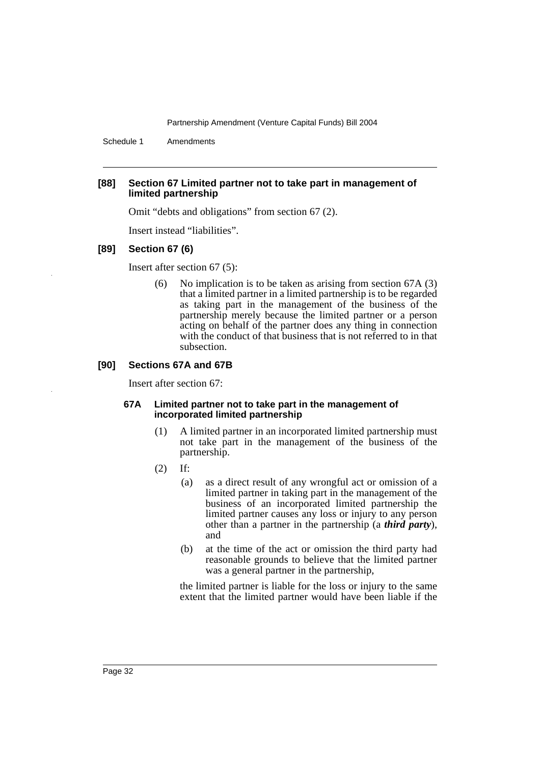Schedule 1 Amendments

## **[88] Section 67 Limited partner not to take part in management of limited partnership**

Omit "debts and obligations" from section 67 (2).

Insert instead "liabilities".

#### **[89] Section 67 (6)**

Insert after section 67 (5):

(6) No implication is to be taken as arising from section 67A (3) that a limited partner in a limited partnership is to be regarded as taking part in the management of the business of the partnership merely because the limited partner or a person acting on behalf of the partner does any thing in connection with the conduct of that business that is not referred to in that subsection.

#### **[90] Sections 67A and 67B**

Insert after section 67:

#### **67A Limited partner not to take part in the management of incorporated limited partnership**

- (1) A limited partner in an incorporated limited partnership must not take part in the management of the business of the partnership.
- (2) If:
	- (a) as a direct result of any wrongful act or omission of a limited partner in taking part in the management of the business of an incorporated limited partnership the limited partner causes any loss or injury to any person other than a partner in the partnership (a *third party*), and
	- (b) at the time of the act or omission the third party had reasonable grounds to believe that the limited partner was a general partner in the partnership,

the limited partner is liable for the loss or injury to the same extent that the limited partner would have been liable if the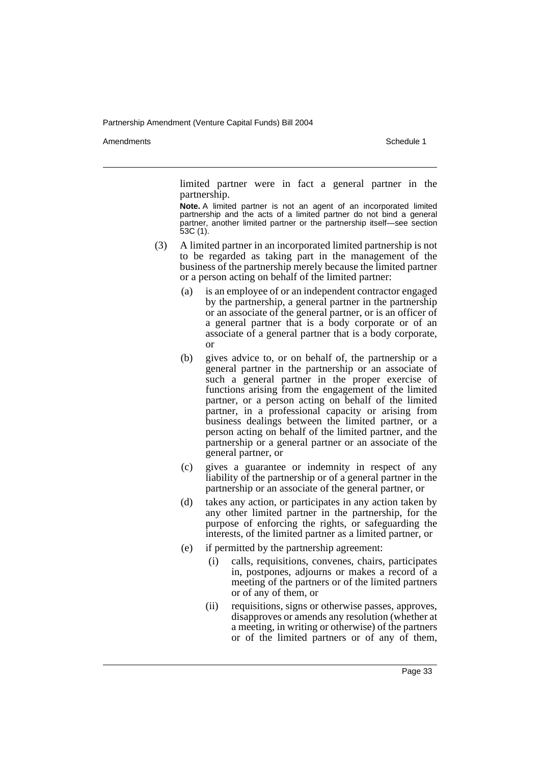Amendments **Amendments** Schedule 1

limited partner were in fact a general partner in the partnership.

**Note.** A limited partner is not an agent of an incorporated limited partnership and the acts of a limited partner do not bind a general partner, another limited partner or the partnership itself—see section 53C (1).

- (3) A limited partner in an incorporated limited partnership is not to be regarded as taking part in the management of the business of the partnership merely because the limited partner or a person acting on behalf of the limited partner:
	- (a) is an employee of or an independent contractor engaged by the partnership, a general partner in the partnership or an associate of the general partner, or is an officer of a general partner that is a body corporate or of an associate of a general partner that is a body corporate, or
	- (b) gives advice to, or on behalf of, the partnership or a general partner in the partnership or an associate of such a general partner in the proper exercise of functions arising from the engagement of the limited partner, or a person acting on behalf of the limited partner, in a professional capacity or arising from business dealings between the limited partner, or a person acting on behalf of the limited partner, and the partnership or a general partner or an associate of the general partner, or
	- (c) gives a guarantee or indemnity in respect of any liability of the partnership or of a general partner in the partnership or an associate of the general partner, or
	- (d) takes any action, or participates in any action taken by any other limited partner in the partnership, for the purpose of enforcing the rights, or safeguarding the interests, of the limited partner as a limited partner, or
	- (e) if permitted by the partnership agreement:
		- (i) calls, requisitions, convenes, chairs, participates in, postpones, adjourns or makes a record of a meeting of the partners or of the limited partners or of any of them, or
		- (ii) requisitions, signs or otherwise passes, approves, disapproves or amends any resolution (whether at a meeting, in writing or otherwise) of the partners or of the limited partners or of any of them,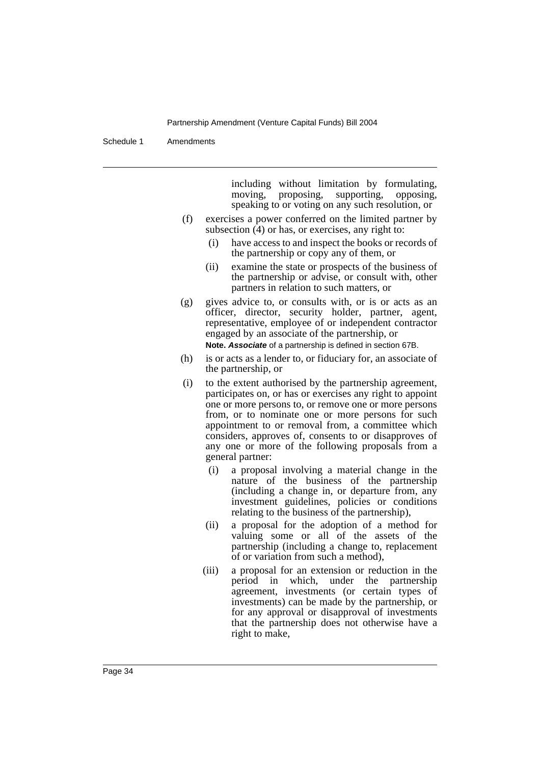Schedule 1 Amendments

including without limitation by formulating, moving, proposing, supporting, opposing, speaking to or voting on any such resolution, or

- (f) exercises a power conferred on the limited partner by subsection  $(4)$  or has, or exercises, any right to:
	- (i) have access to and inspect the books or records of the partnership or copy any of them, or
	- (ii) examine the state or prospects of the business of the partnership or advise, or consult with, other partners in relation to such matters, or
- (g) gives advice to, or consults with, or is or acts as an officer, director, security holder, partner, agent, representative, employee of or independent contractor engaged by an associate of the partnership, or

**Note. Associate** of a partnership is defined in section 67B.

- (h) is or acts as a lender to, or fiduciary for, an associate of the partnership, or
- (i) to the extent authorised by the partnership agreement, participates on, or has or exercises any right to appoint one or more persons to, or remove one or more persons from, or to nominate one or more persons for such appointment to or removal from, a committee which considers, approves of, consents to or disapproves of any one or more of the following proposals from a general partner:
	- (i) a proposal involving a material change in the nature of the business of the partnership (including a change in, or departure from, any investment guidelines, policies or conditions relating to the business of the partnership),
	- (ii) a proposal for the adoption of a method for valuing some or all of the assets of the partnership (including a change to, replacement of or variation from such a method),
	- (iii) a proposal for an extension or reduction in the period in which, under the partnership agreement, investments (or certain types of investments) can be made by the partnership, or for any approval or disapproval of investments that the partnership does not otherwise have a right to make,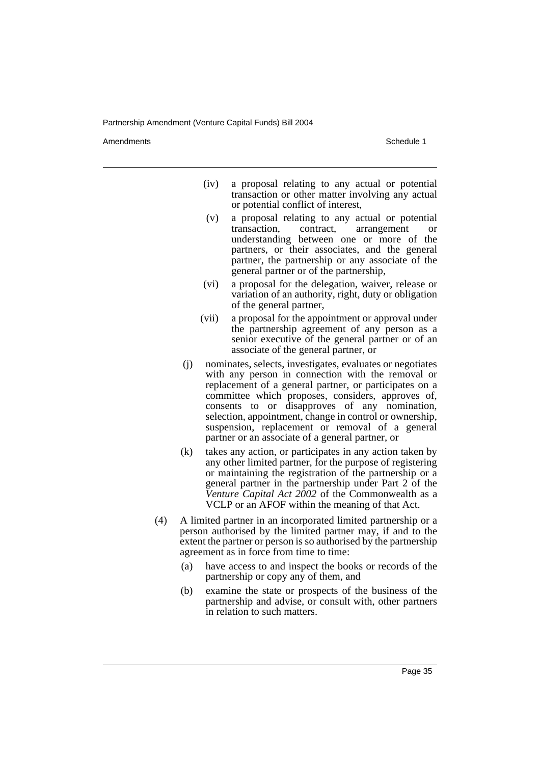Amendments **Amendments** Schedule 1

- (iv) a proposal relating to any actual or potential transaction or other matter involving any actual or potential conflict of interest,
- (v) a proposal relating to any actual or potential transaction, contract, arrangement or understanding between one or more of the partners, or their associates, and the general partner, the partnership or any associate of the general partner or of the partnership,
- (vi) a proposal for the delegation, waiver, release or variation of an authority, right, duty or obligation of the general partner,
- (vii) a proposal for the appointment or approval under the partnership agreement of any person as a senior executive of the general partner or of an associate of the general partner, or
- (j) nominates, selects, investigates, evaluates or negotiates with any person in connection with the removal or replacement of a general partner, or participates on a committee which proposes, considers, approves of, consents to or disapproves of any nomination, selection, appointment, change in control or ownership, suspension, replacement or removal of a general partner or an associate of a general partner, or
- (k) takes any action, or participates in any action taken by any other limited partner, for the purpose of registering or maintaining the registration of the partnership or a general partner in the partnership under Part 2 of the *Venture Capital Act 2002* of the Commonwealth as a VCLP or an AFOF within the meaning of that Act.
- (4) A limited partner in an incorporated limited partnership or a person authorised by the limited partner may, if and to the extent the partner or person is so authorised by the partnership agreement as in force from time to time:
	- (a) have access to and inspect the books or records of the partnership or copy any of them, and
	- (b) examine the state or prospects of the business of the partnership and advise, or consult with, other partners in relation to such matters.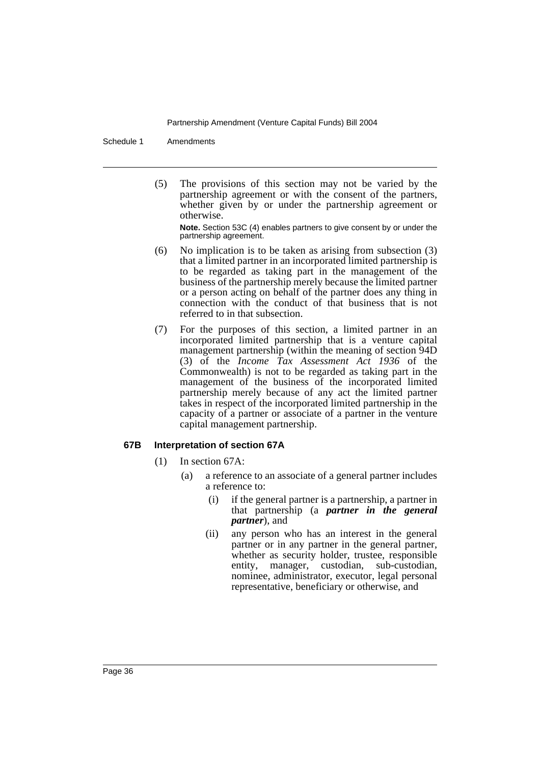Schedule 1 Amendments

(5) The provisions of this section may not be varied by the partnership agreement or with the consent of the partners, whether given by or under the partnership agreement or otherwise.

**Note.** Section 53C (4) enables partners to give consent by or under the partnership agreement.

- (6) No implication is to be taken as arising from subsection (3) that a limited partner in an incorporated limited partnership is to be regarded as taking part in the management of the business of the partnership merely because the limited partner or a person acting on behalf of the partner does any thing in connection with the conduct of that business that is not referred to in that subsection.
- (7) For the purposes of this section, a limited partner in an incorporated limited partnership that is a venture capital management partnership (within the meaning of section 94D (3) of the *Income Tax Assessment Act 1936* of the Commonwealth) is not to be regarded as taking part in the management of the business of the incorporated limited partnership merely because of any act the limited partner takes in respect of the incorporated limited partnership in the capacity of a partner or associate of a partner in the venture capital management partnership.

## **67B Interpretation of section 67A**

(1) In section 67A:

- (a) a reference to an associate of a general partner includes a reference to:
	- (i) if the general partner is a partnership, a partner in that partnership (a *partner in the general partner*), and
	- (ii) any person who has an interest in the general partner or in any partner in the general partner, whether as security holder, trustee, responsible entity, manager, custodian, sub-custodian, nominee, administrator, executor, legal personal representative, beneficiary or otherwise, and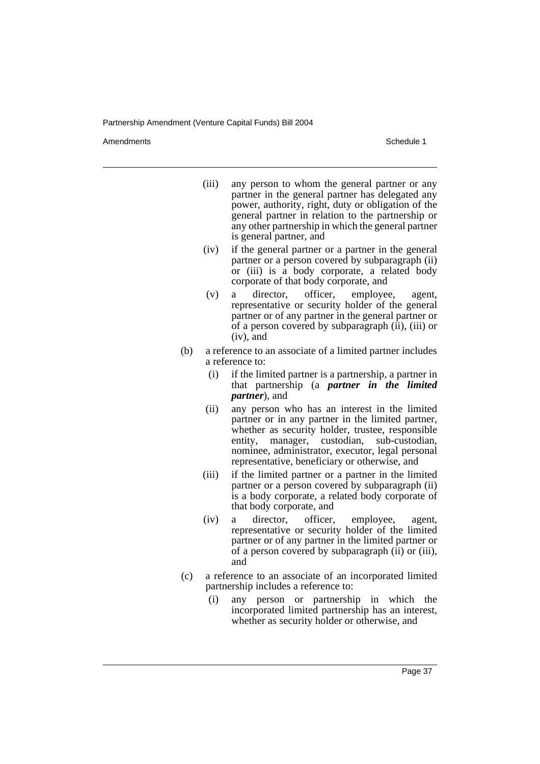Amendments **Amendments** Schedule 1

- (iii) any person to whom the general partner or any partner in the general partner has delegated any power, authority, right, duty or obligation of the general partner in relation to the partnership or any other partnership in which the general partner is general partner, and
- (iv) if the general partner or a partner in the general partner or a person covered by subparagraph (ii) or (iii) is a body corporate, a related body corporate of that body corporate, and
- (v) a director, officer, employee, agent, representative or security holder of the general partner or of any partner in the general partner or of a person covered by subparagraph (ii), (iii) or (iv), and
- (b) a reference to an associate of a limited partner includes a reference to:
	- (i) if the limited partner is a partnership, a partner in that partnership (a *partner in the limited partner*), and
	- (ii) any person who has an interest in the limited partner or in any partner in the limited partner, whether as security holder, trustee, responsible entity, manager, custodian, sub-custodian, nominee, administrator, executor, legal personal representative, beneficiary or otherwise, and
	- (iii) if the limited partner or a partner in the limited partner or a person covered by subparagraph (ii) is a body corporate, a related body corporate of that body corporate, and
	- (iv) a director, officer, employee, agent, representative or security holder of the limited partner or of any partner in the limited partner or of a person covered by subparagraph (ii) or (iii), and
- (c) a reference to an associate of an incorporated limited partnership includes a reference to:
	- (i) any person or partnership in which the incorporated limited partnership has an interest, whether as security holder or otherwise, and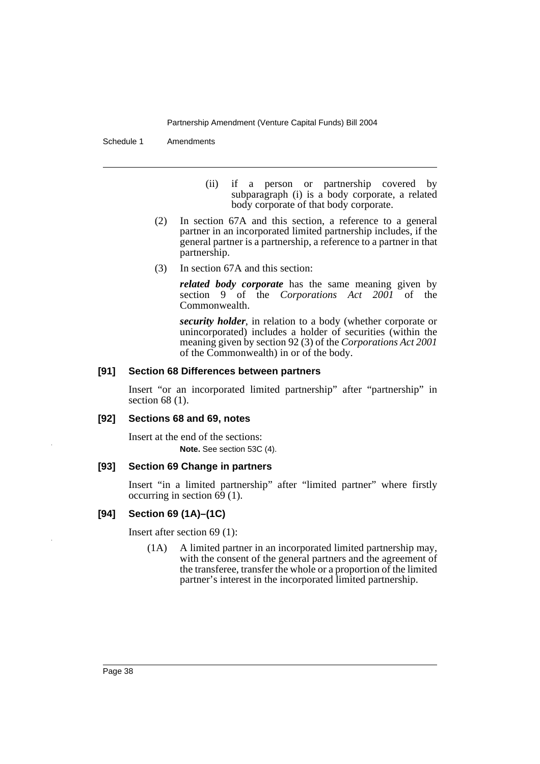Schedule 1 Amendments

(ii) if a person or partnership covered by subparagraph (i) is a body corporate, a related body corporate of that body corporate.

- (2) In section 67A and this section, a reference to a general partner in an incorporated limited partnership includes, if the general partner is a partnership, a reference to a partner in that partnership.
- (3) In section 67A and this section:

*related body corporate* has the same meaning given by section 9 of the *Corporations Act 2001* of the Commonwealth.

*security holder*, in relation to a body (whether corporate or unincorporated) includes a holder of securities (within the meaning given by section 92 (3) of the *Corporations Act 2001* of the Commonwealth) in or of the body.

## **[91] Section 68 Differences between partners**

Insert "or an incorporated limited partnership" after "partnership" in section 68 (1).

## **[92] Sections 68 and 69, notes**

Insert at the end of the sections: **Note.** See section 53C (4).

## **[93] Section 69 Change in partners**

Insert "in a limited partnership" after "limited partner" where firstly occurring in section  $6\overline{9}$  (1).

## **[94] Section 69 (1A)–(1C)**

Insert after section 69 (1):

(1A) A limited partner in an incorporated limited partnership may, with the consent of the general partners and the agreement of the transferee, transfer the whole or a proportion of the limited partner's interest in the incorporated limited partnership.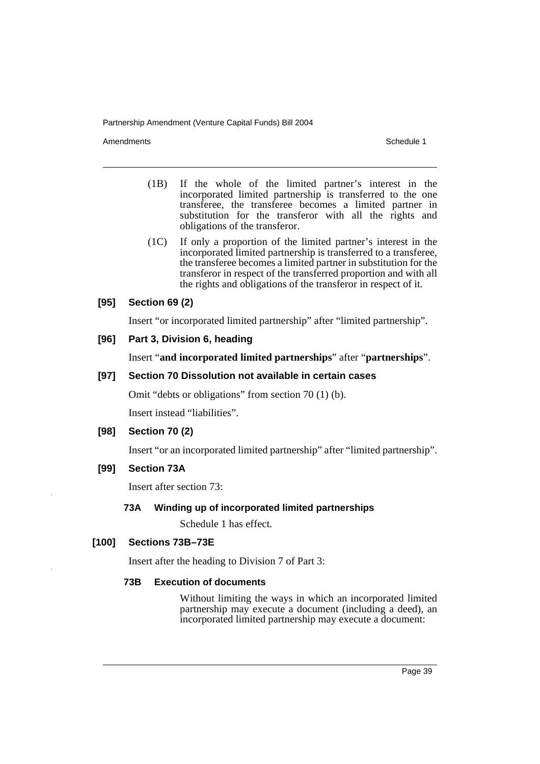Amendments **Schedule 1** and the set of the set of the set of the set of the set of the set of the set of the set of the set of the set of the set of the set of the set of the set of the set of the set of the set of the set

- (1B) If the whole of the limited partner's interest in the incorporated limited partnership is transferred to the one transferee, the transferee becomes a limited partner in substitution for the transferor with all the rights and obligations of the transferor.
- (1C) If only a proportion of the limited partner's interest in the incorporated limited partnership is transferred to a transferee, the transferee becomes a limited partner in substitution for the transferor in respect of the transferred proportion and with all the rights and obligations of the transferor in respect of it.

## **[95] Section 69 (2)**

Insert "or incorporated limited partnership" after "limited partnership".

## **[96] Part 3, Division 6, heading**

Insert "**and incorporated limited partnerships**" after "**partnerships**".

## **[97] Section 70 Dissolution not available in certain cases**

Omit "debts or obligations" from section 70 (1) (b).

Insert instead "liabilities".

## **[98] Section 70 (2)**

Insert "or an incorporated limited partnership" after "limited partnership".

## **[99] Section 73A**

Insert after section 73:

## **73A Winding up of incorporated limited partnerships**

Schedule 1 has effect.

## **[100] Sections 73B–73E**

Insert after the heading to Division 7 of Part 3:

#### **73B Execution of documents**

Without limiting the ways in which an incorporated limited partnership may execute a document (including a deed), an incorporated limited partnership may execute a document: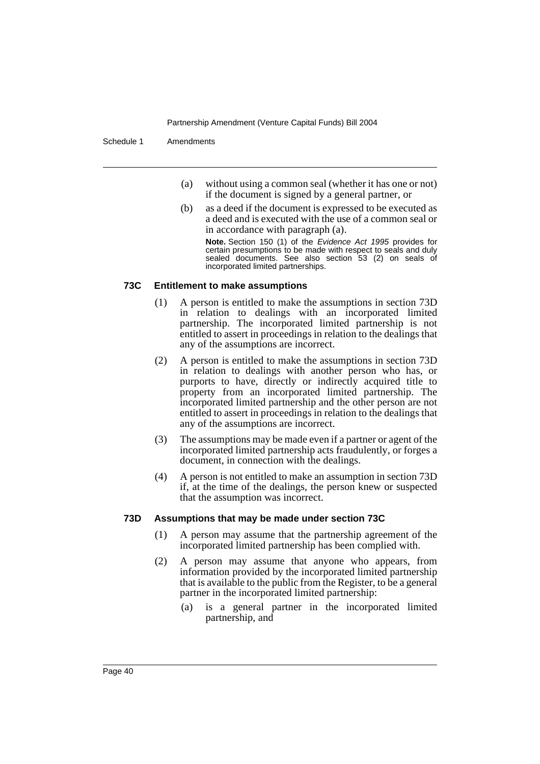Schedule 1 Amendments

- (a) without using a common seal (whether it has one or not) if the document is signed by a general partner, or
- (b) as a deed if the document is expressed to be executed as a deed and is executed with the use of a common seal or in accordance with paragraph (a). **Note.** Section 150 (1) of the Evidence Act 1995 provides for certain presumptions to be made with respect to seals and duly

sealed documents. See also section 53 (2) on seals of incorporated limited partnerships.

#### **73C Entitlement to make assumptions**

- (1) A person is entitled to make the assumptions in section 73D in relation to dealings with an incorporated limited partnership. The incorporated limited partnership is not entitled to assert in proceedings in relation to the dealings that any of the assumptions are incorrect.
- (2) A person is entitled to make the assumptions in section 73D in relation to dealings with another person who has, or purports to have, directly or indirectly acquired title to property from an incorporated limited partnership. The incorporated limited partnership and the other person are not entitled to assert in proceedings in relation to the dealings that any of the assumptions are incorrect.
- (3) The assumptions may be made even if a partner or agent of the incorporated limited partnership acts fraudulently, or forges a document, in connection with the dealings.
- (4) A person is not entitled to make an assumption in section 73D if, at the time of the dealings, the person knew or suspected that the assumption was incorrect.

## **73D Assumptions that may be made under section 73C**

- (1) A person may assume that the partnership agreement of the incorporated limited partnership has been complied with.
- (2) A person may assume that anyone who appears, from information provided by the incorporated limited partnership that is available to the public from the Register, to be a general partner in the incorporated limited partnership:
	- (a) is a general partner in the incorporated limited partnership, and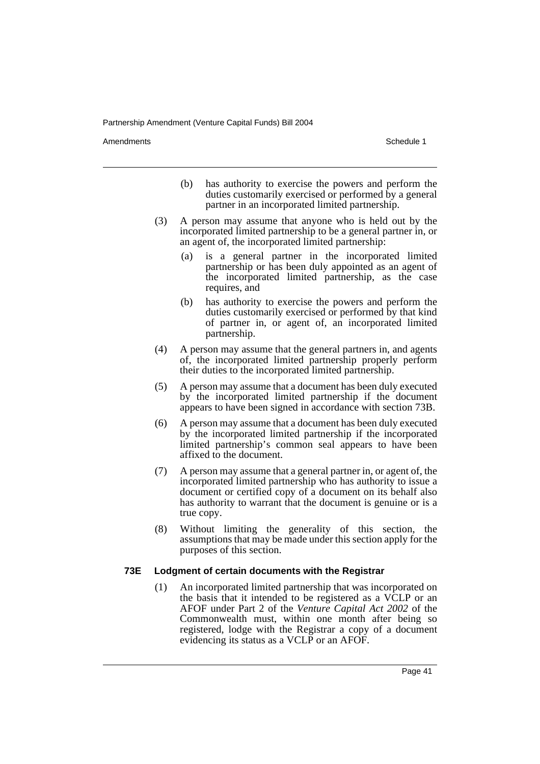Amendments **Amendments** Schedule 1

- (b) has authority to exercise the powers and perform the duties customarily exercised or performed by a general partner in an incorporated limited partnership.
- (3) A person may assume that anyone who is held out by the incorporated limited partnership to be a general partner in, or an agent of, the incorporated limited partnership:
	- (a) is a general partner in the incorporated limited partnership or has been duly appointed as an agent of the incorporated limited partnership, as the case requires, and
	- (b) has authority to exercise the powers and perform the duties customarily exercised or performed by that kind of partner in, or agent of, an incorporated limited partnership.
- (4) A person may assume that the general partners in, and agents of, the incorporated limited partnership properly perform their duties to the incorporated limited partnership.
- (5) A person may assume that a document has been duly executed by the incorporated limited partnership if the document appears to have been signed in accordance with section 73B.
- (6) A person may assume that a document has been duly executed by the incorporated limited partnership if the incorporated limited partnership's common seal appears to have been affixed to the document.
- (7) A person may assume that a general partner in, or agent of, the incorporated limited partnership who has authority to issue a document or certified copy of a document on its behalf also has authority to warrant that the document is genuine or is a true copy.
- (8) Without limiting the generality of this section, the assumptions that may be made under this section apply for the purposes of this section.

## **73E Lodgment of certain documents with the Registrar**

(1) An incorporated limited partnership that was incorporated on the basis that it intended to be registered as a VCLP or an AFOF under Part 2 of the *Venture Capital Act 2002* of the Commonwealth must, within one month after being so registered, lodge with the Registrar a copy of a document evidencing its status as a VCLP or an AFOF.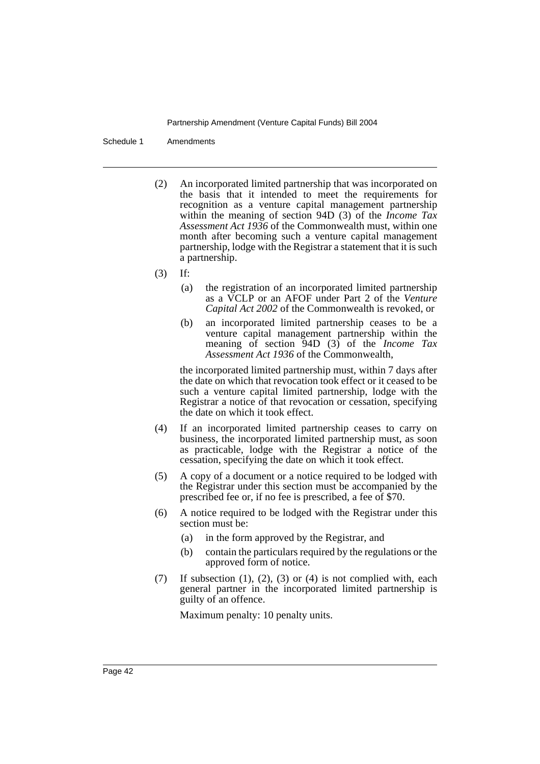Schedule 1 Amendments

- (2) An incorporated limited partnership that was incorporated on the basis that it intended to meet the requirements for recognition as a venture capital management partnership within the meaning of section 94D (3) of the *Income Tax Assessment Act 1936* of the Commonwealth must, within one month after becoming such a venture capital management partnership, lodge with the Registrar a statement that it is such a partnership.
- (3) If:
	- (a) the registration of an incorporated limited partnership as a VCLP or an AFOF under Part 2 of the *Venture Capital Act 2002* of the Commonwealth is revoked, or
	- (b) an incorporated limited partnership ceases to be a venture capital management partnership within the meaning of section 94D (3) of the *Income Tax Assessment Act 1936* of the Commonwealth,

the incorporated limited partnership must, within 7 days after the date on which that revocation took effect or it ceased to be such a venture capital limited partnership, lodge with the Registrar a notice of that revocation or cessation, specifying the date on which it took effect.

- (4) If an incorporated limited partnership ceases to carry on business, the incorporated limited partnership must, as soon as practicable, lodge with the Registrar a notice of the cessation, specifying the date on which it took effect.
- (5) A copy of a document or a notice required to be lodged with the Registrar under this section must be accompanied by the prescribed fee or, if no fee is prescribed, a fee of \$70.
- (6) A notice required to be lodged with the Registrar under this section must be:
	- (a) in the form approved by the Registrar, and
	- (b) contain the particulars required by the regulations or the approved form of notice.
- (7) If subsection (1), (2), (3) or (4) is not complied with, each general partner in the incorporated limited partnership is guilty of an offence.

Maximum penalty: 10 penalty units.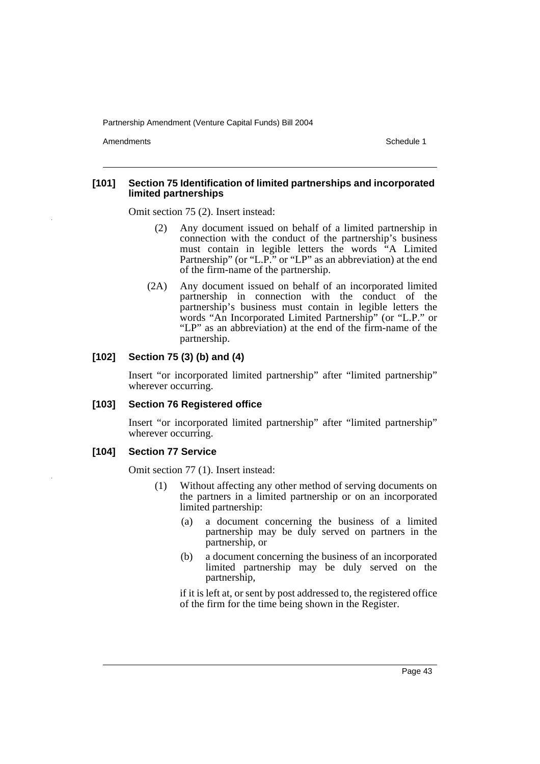Amendments **Amendments** Schedule 1

#### **[101] Section 75 Identification of limited partnerships and incorporated limited partnerships**

Omit section 75 (2). Insert instead:

- (2) Any document issued on behalf of a limited partnership in connection with the conduct of the partnership's business must contain in legible letters the words "A Limited Partnership" (or "L.P." or "LP" as an abbreviation) at the end of the firm-name of the partnership.
- (2A) Any document issued on behalf of an incorporated limited partnership in connection with the conduct of the partnership's business must contain in legible letters the words "An Incorporated Limited Partnership" (or "L.P." or "LP" as an abbreviation) at the end of the firm-name of the partnership.

## **[102] Section 75 (3) (b) and (4)**

Insert "or incorporated limited partnership" after "limited partnership" wherever occurring.

## **[103] Section 76 Registered office**

Insert "or incorporated limited partnership" after "limited partnership" wherever occurring.

## **[104] Section 77 Service**

Omit section 77 (1). Insert instead:

- (1) Without affecting any other method of serving documents on the partners in a limited partnership or on an incorporated limited partnership:
	- (a) a document concerning the business of a limited partnership may be duly served on partners in the partnership, or
	- (b) a document concerning the business of an incorporated limited partnership may be duly served on the partnership,

if it is left at, or sent by post addressed to, the registered office of the firm for the time being shown in the Register.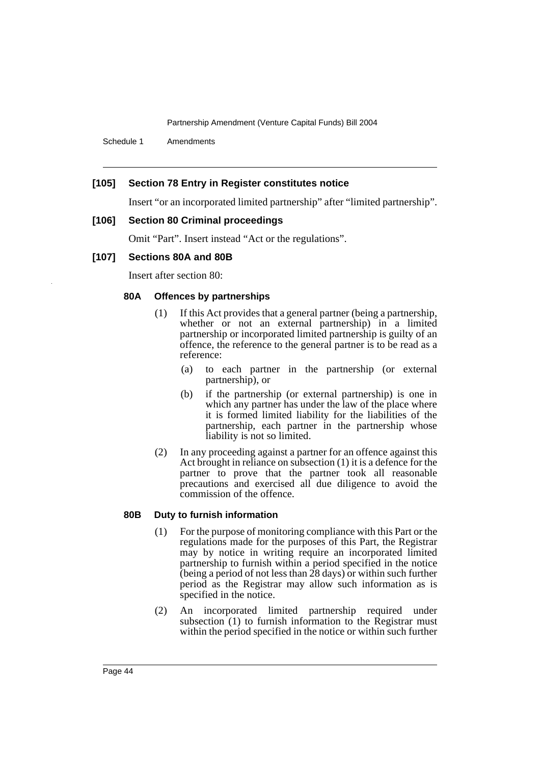Schedule 1 Amendments

## **[105] Section 78 Entry in Register constitutes notice**

Insert "or an incorporated limited partnership" after "limited partnership".

#### **[106] Section 80 Criminal proceedings**

Omit "Part". Insert instead "Act or the regulations".

#### **[107] Sections 80A and 80B**

Insert after section 80:

#### **80A Offences by partnerships**

- (1) If this Act provides that a general partner (being a partnership, whether or not an external partnership) in a limited partnership or incorporated limited partnership is guilty of an offence, the reference to the general partner is to be read as a reference:
	- (a) to each partner in the partnership (or external partnership), or
	- (b) if the partnership (or external partnership) is one in which any partner has under the law of the place where it is formed limited liability for the liabilities of the partnership, each partner in the partnership whose liability is not so limited.
- (2) In any proceeding against a partner for an offence against this Act brought in reliance on subsection (1) it is a defence for the partner to prove that the partner took all reasonable precautions and exercised all due diligence to avoid the commission of the offence.

## **80B Duty to furnish information**

- (1) For the purpose of monitoring compliance with this Part or the regulations made for the purposes of this Part, the Registrar may by notice in writing require an incorporated limited partnership to furnish within a period specified in the notice (being a period of not less than  $\overline{28}$  days) or within such further period as the Registrar may allow such information as is specified in the notice.
- (2) An incorporated limited partnership required under subsection (1) to furnish information to the Registrar must within the period specified in the notice or within such further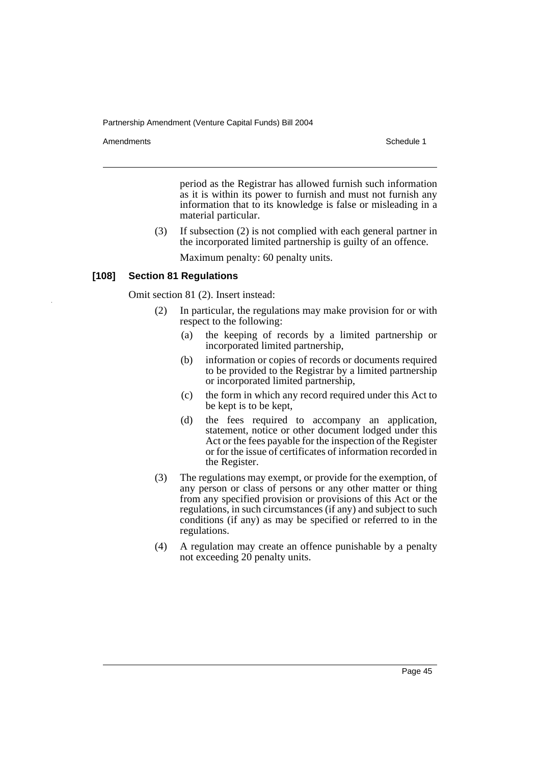Amendments **Amendments** Schedule 1

period as the Registrar has allowed furnish such information as it is within its power to furnish and must not furnish any information that to its knowledge is false or misleading in a material particular.

(3) If subsection (2) is not complied with each general partner in the incorporated limited partnership is guilty of an offence.

Maximum penalty: 60 penalty units.

#### **[108] Section 81 Regulations**

Omit section 81 (2). Insert instead:

- (2) In particular, the regulations may make provision for or with respect to the following:
	- (a) the keeping of records by a limited partnership or incorporated limited partnership,
	- (b) information or copies of records or documents required to be provided to the Registrar by a limited partnership or incorporated limited partnership,
	- (c) the form in which any record required under this Act to be kept is to be kept,
	- (d) the fees required to accompany an application, statement, notice or other document lodged under this Act or the fees payable for the inspection of the Register or for the issue of certificates of information recorded in the Register.
- (3) The regulations may exempt, or provide for the exemption, of any person or class of persons or any other matter or thing from any specified provision or provisions of this Act or the regulations, in such circumstances (if any) and subject to such conditions (if any) as may be specified or referred to in the regulations.
- (4) A regulation may create an offence punishable by a penalty not exceeding 20 penalty units.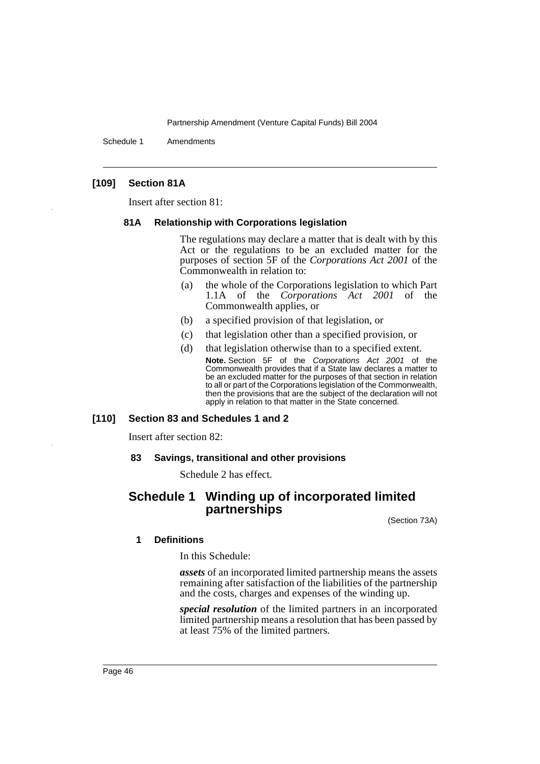Schedule 1 Amendments

## **[109] Section 81A**

Insert after section 81:

#### **81A Relationship with Corporations legislation**

The regulations may declare a matter that is dealt with by this Act or the regulations to be an excluded matter for the purposes of section 5F of the *Corporations Act 2001* of the Commonwealth in relation to:

- (a) the whole of the Corporations legislation to which Part 1.1A of the *Corporations Act 2001* of the Commonwealth applies, or
- (b) a specified provision of that legislation, or
- (c) that legislation other than a specified provision, or
- (d) that legislation otherwise than to a specified extent.

**Note.** Section 5F of the Corporations Act 2001 of the Commonwealth provides that if a State law declares a matter to be an excluded matter for the purposes of that section in relation to all or part of the Corporations legislation of the Commonwealth, then the provisions that are the subject of the declaration will not apply in relation to that matter in the State concerned.

## **[110] Section 83 and Schedules 1 and 2**

Insert after section 82:

#### **83 Savings, transitional and other provisions**

Schedule 2 has effect.

# **Schedule 1 Winding up of incorporated limited partnerships**

(Section 73A)

#### **1 Definitions**

In this Schedule:

*assets* of an incorporated limited partnership means the assets remaining after satisfaction of the liabilities of the partnership and the costs, charges and expenses of the winding up.

*special resolution* of the limited partners in an incorporated limited partnership means a resolution that has been passed by at least 75% of the limited partners.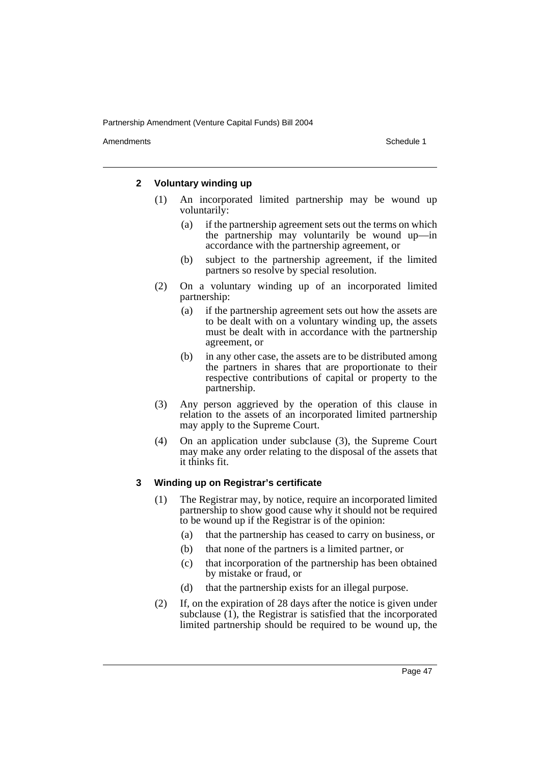Amendments **Amendments** Schedule 1

## **2 Voluntary winding up**

- (1) An incorporated limited partnership may be wound up voluntarily:
	- (a) if the partnership agreement sets out the terms on which the partnership may voluntarily be wound up—in accordance with the partnership agreement, or
	- (b) subject to the partnership agreement, if the limited partners so resolve by special resolution.
- (2) On a voluntary winding up of an incorporated limited partnership:
	- (a) if the partnership agreement sets out how the assets are to be dealt with on a voluntary winding up, the assets must be dealt with in accordance with the partnership agreement, or
	- (b) in any other case, the assets are to be distributed among the partners in shares that are proportionate to their respective contributions of capital or property to the partnership.
- (3) Any person aggrieved by the operation of this clause in relation to the assets of an incorporated limited partnership may apply to the Supreme Court.
- (4) On an application under subclause (3), the Supreme Court may make any order relating to the disposal of the assets that it thinks fit.

## **3 Winding up on Registrar's certificate**

- (1) The Registrar may, by notice, require an incorporated limited partnership to show good cause why it should not be required to be wound up if the Registrar is of the opinion:
	- (a) that the partnership has ceased to carry on business, or
	- (b) that none of the partners is a limited partner, or
	- (c) that incorporation of the partnership has been obtained by mistake or fraud, or
	- (d) that the partnership exists for an illegal purpose.
- (2) If, on the expiration of 28 days after the notice is given under subclause  $(1)$ , the Registrar is satisfied that the incorporated limited partnership should be required to be wound up, the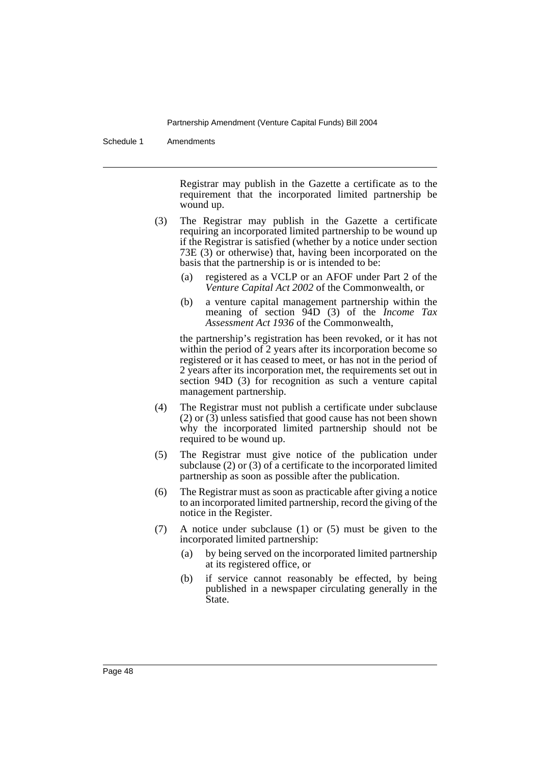Schedule 1 Amendments

Registrar may publish in the Gazette a certificate as to the requirement that the incorporated limited partnership be wound up.

- (3) The Registrar may publish in the Gazette a certificate requiring an incorporated limited partnership to be wound up if the Registrar is satisfied (whether by a notice under section 73E (3) or otherwise) that, having been incorporated on the basis that the partnership is or is intended to be:
	- (a) registered as a VCLP or an AFOF under Part 2 of the *Venture Capital Act 2002* of the Commonwealth, or
	- (b) a venture capital management partnership within the meaning of section 94D (3) of the *Income Tax Assessment Act 1936* of the Commonwealth,

the partnership's registration has been revoked, or it has not within the period of 2 years after its incorporation become so registered or it has ceased to meet, or has not in the period of 2 years after its incorporation met, the requirements set out in section 94D (3) for recognition as such a venture capital management partnership.

- (4) The Registrar must not publish a certificate under subclause  $(2)$  or  $(3)$  unless satisfied that good cause has not been shown why the incorporated limited partnership should not be required to be wound up.
- (5) The Registrar must give notice of the publication under subclause (2) or (3) of a certificate to the incorporated limited partnership as soon as possible after the publication.
- (6) The Registrar must as soon as practicable after giving a notice to an incorporated limited partnership, record the giving of the notice in the Register.
- (7) A notice under subclause (1) or (5) must be given to the incorporated limited partnership:
	- (a) by being served on the incorporated limited partnership at its registered office, or
	- (b) if service cannot reasonably be effected, by being published in a newspaper circulating generally in the State.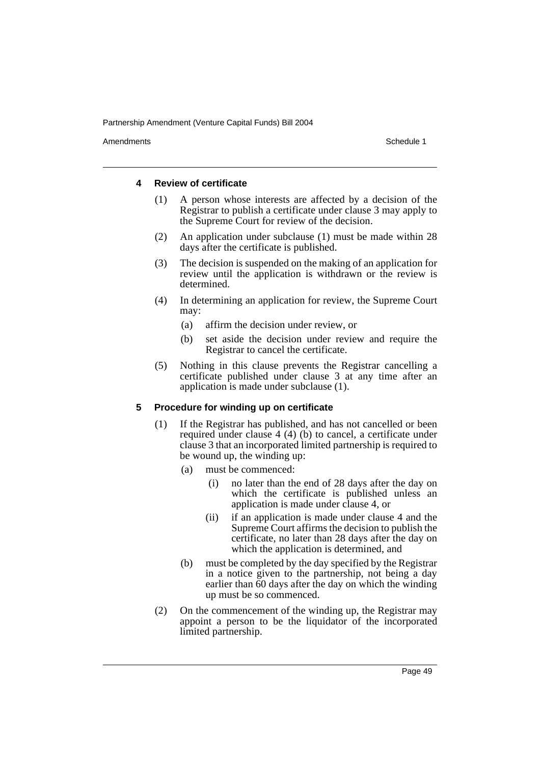Amendments **Amendments** Schedule 1

#### **4 Review of certificate**

- (1) A person whose interests are affected by a decision of the Registrar to publish a certificate under clause 3 may apply to the Supreme Court for review of the decision.
- (2) An application under subclause (1) must be made within 28 days after the certificate is published.
- (3) The decision is suspended on the making of an application for review until the application is withdrawn or the review is determined.
- (4) In determining an application for review, the Supreme Court may:
	- (a) affirm the decision under review, or
	- (b) set aside the decision under review and require the Registrar to cancel the certificate.
- (5) Nothing in this clause prevents the Registrar cancelling a certificate published under clause 3 at any time after an application is made under subclause (1).

## **5 Procedure for winding up on certificate**

- (1) If the Registrar has published, and has not cancelled or been required under clause 4 (4) (b) to cancel, a certificate under clause 3 that an incorporated limited partnership is required to be wound up, the winding up:
	- (a) must be commenced:
		- (i) no later than the end of 28 days after the day on which the certificate is published unless an application is made under clause 4, or
		- (ii) if an application is made under clause 4 and the Supreme Court affirms the decision to publish the certificate, no later than 28 days after the day on which the application is determined, and
	- (b) must be completed by the day specified by the Registrar in a notice given to the partnership, not being a day earlier than 60 days after the day on which the winding up must be so commenced.
- (2) On the commencement of the winding up, the Registrar may appoint a person to be the liquidator of the incorporated limited partnership.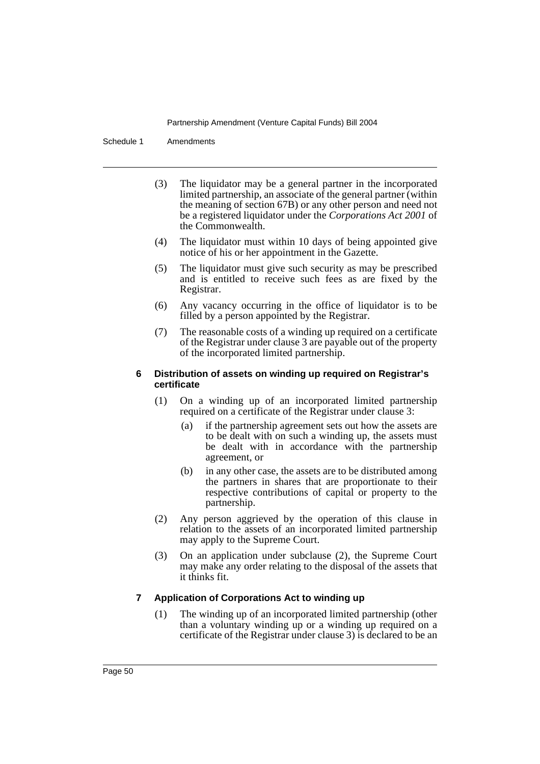Schedule 1 Amendments

- (3) The liquidator may be a general partner in the incorporated limited partnership, an associate of the general partner (within the meaning of section 67B) or any other person and need not be a registered liquidator under the *Corporations Act 2001* of the Commonwealth.
- (4) The liquidator must within 10 days of being appointed give notice of his or her appointment in the Gazette.
- (5) The liquidator must give such security as may be prescribed and is entitled to receive such fees as are fixed by the Registrar.
- (6) Any vacancy occurring in the office of liquidator is to be filled by a person appointed by the Registrar.
- (7) The reasonable costs of a winding up required on a certificate of the Registrar under clause 3 are payable out of the property of the incorporated limited partnership.

## **6 Distribution of assets on winding up required on Registrar's certificate**

- (1) On a winding up of an incorporated limited partnership required on a certificate of the Registrar under clause 3:
	- (a) if the partnership agreement sets out how the assets are to be dealt with on such a winding up, the assets must be dealt with in accordance with the partnership agreement, or
	- (b) in any other case, the assets are to be distributed among the partners in shares that are proportionate to their respective contributions of capital or property to the partnership.
- (2) Any person aggrieved by the operation of this clause in relation to the assets of an incorporated limited partnership may apply to the Supreme Court.
- (3) On an application under subclause (2), the Supreme Court may make any order relating to the disposal of the assets that it thinks fit.

## **7 Application of Corporations Act to winding up**

(1) The winding up of an incorporated limited partnership (other than a voluntary winding up or a winding up required on a certificate of the Registrar under clause 3) is declared to be an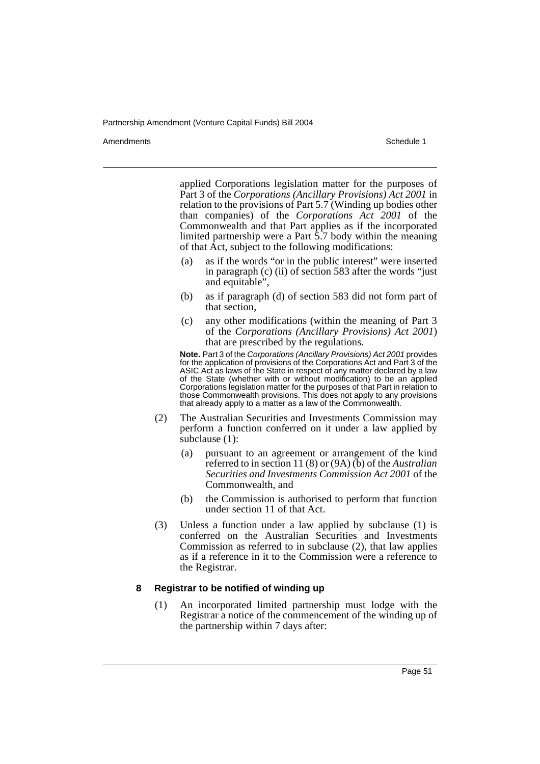Amendments **Amendments** Schedule 1

applied Corporations legislation matter for the purposes of Part 3 of the *Corporations (Ancillary Provisions) Act 2001* in relation to the provisions of Part 5.7 (Winding up bodies other than companies) of the *Corporations Act 2001* of the Commonwealth and that Part applies as if the incorporated limited partnership were a Part 5.7 body within the meaning of that Act, subject to the following modifications:

- (a) as if the words "or in the public interest" were inserted in paragraph (c) (ii) of section 583 after the words "just and equitable".
- (b) as if paragraph (d) of section 583 did not form part of that section,
- (c) any other modifications (within the meaning of Part 3 of the *Corporations (Ancillary Provisions) Act 2001*) that are prescribed by the regulations.

**Note.** Part 3 of the Corporations (Ancillary Provisions) Act 2001 provides for the application of provisions of the Corporations Act and Part 3 of the ASIC Act as laws of the State in respect of any matter declared by a law of the State (whether with or without modification) to be an applied Corporations legislation matter for the purposes of that Part in relation to those Commonwealth provisions. This does not apply to any provisions that already apply to a matter as a law of the Commonwealth.

- (2) The Australian Securities and Investments Commission may perform a function conferred on it under a law applied by subclause (1):
	- (a) pursuant to an agreement or arrangement of the kind referred to in section 11 (8) or (9A) (b) of the *Australian Securities and Investments Commission Act 2001* of the Commonwealth, and
	- (b) the Commission is authorised to perform that function under section 11 of that Act.
- (3) Unless a function under a law applied by subclause (1) is conferred on the Australian Securities and Investments Commission as referred to in subclause (2), that law applies as if a reference in it to the Commission were a reference to the Registrar.

## **8 Registrar to be notified of winding up**

(1) An incorporated limited partnership must lodge with the Registrar a notice of the commencement of the winding up of the partnership within 7 days after: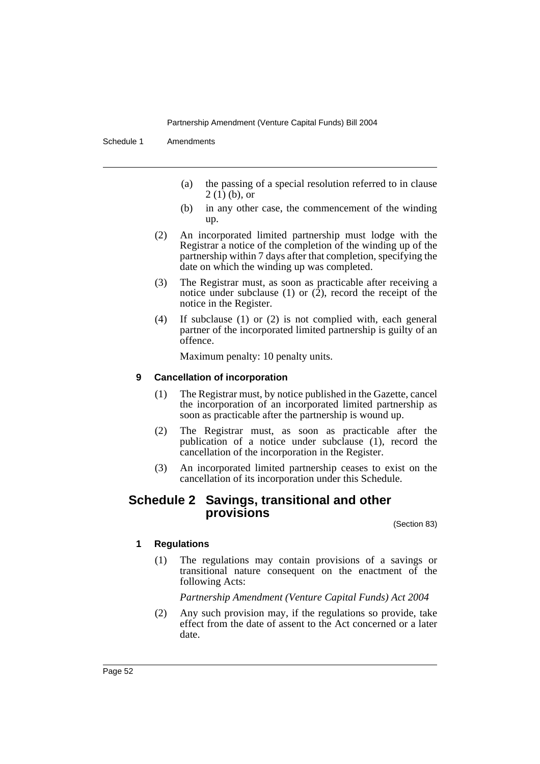Schedule 1 Amendments

- (a) the passing of a special resolution referred to in clause  $2(1)$  (b), or
- (b) in any other case, the commencement of the winding up.
- (2) An incorporated limited partnership must lodge with the Registrar a notice of the completion of the winding up of the partnership within 7 days after that completion, specifying the date on which the winding up was completed.
- (3) The Registrar must, as soon as practicable after receiving a notice under subclause (1) or  $(2)$ , record the receipt of the notice in the Register.
- (4) If subclause (1) or (2) is not complied with, each general partner of the incorporated limited partnership is guilty of an offence.

Maximum penalty: 10 penalty units.

## **9 Cancellation of incorporation**

- (1) The Registrar must, by notice published in the Gazette, cancel the incorporation of an incorporated limited partnership as soon as practicable after the partnership is wound up.
- (2) The Registrar must, as soon as practicable after the publication of a notice under subclause (1), record the cancellation of the incorporation in the Register.
- (3) An incorporated limited partnership ceases to exist on the cancellation of its incorporation under this Schedule.

## **Schedule 2 Savings, transitional and other provisions**

(Section 83)

## **1 Regulations**

(1) The regulations may contain provisions of a savings or transitional nature consequent on the enactment of the following Acts:

*Partnership Amendment (Venture Capital Funds) Act 2004*

(2) Any such provision may, if the regulations so provide, take effect from the date of assent to the Act concerned or a later date.